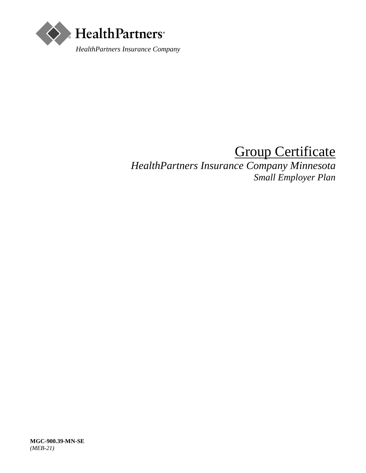

# Group Certificate

*HealthPartners Insurance Company Minnesota Small Employer Plan*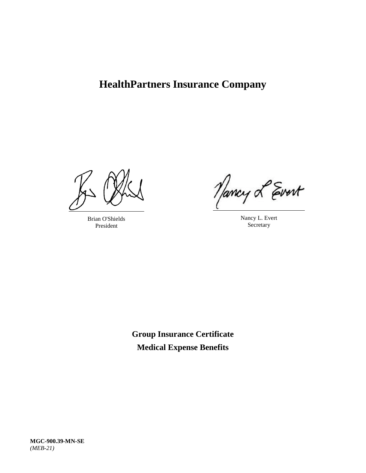## **HealthPartners Insurance Company**

Brian O'Shields President

Nancy L Evert

Nancy L. Evert **Secretary** 

**Group Insurance Certificate Medical Expense Benefits**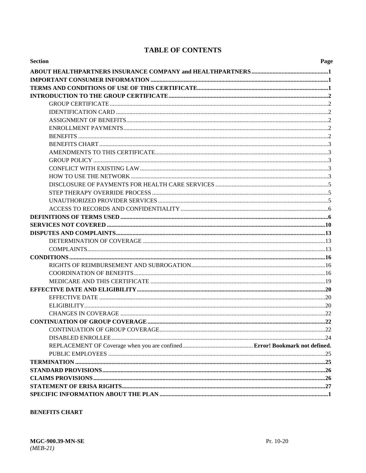## **TABLE OF CONTENTS**

| <b>Section</b> | Page |
|----------------|------|
|                |      |
|                |      |
|                |      |
|                |      |
|                |      |
|                |      |
|                |      |
|                |      |
|                |      |
|                |      |
|                |      |
|                |      |
|                |      |
|                |      |
|                |      |
|                |      |
|                |      |
|                |      |
|                |      |
|                |      |
|                |      |
|                |      |
|                |      |
|                |      |
|                |      |
|                |      |
|                |      |
|                |      |
|                |      |
|                |      |
|                |      |
|                |      |
|                |      |
|                |      |
|                |      |
|                |      |
|                |      |
|                |      |
|                |      |
|                |      |
|                |      |

### **BENEFITS CHART**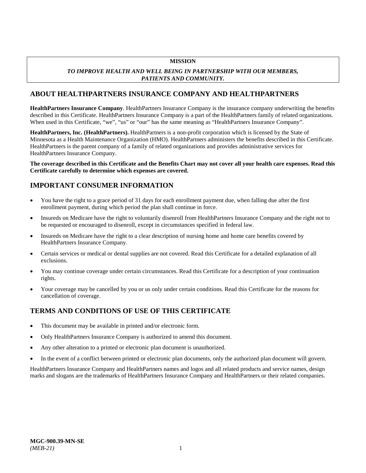#### **MISSION**

#### *TO IMPROVE HEALTH AND WELL BEING IN PARTNERSHIP WITH OUR MEMBERS, PATIENTS AND COMMUNITY.*

## <span id="page-6-0"></span>**ABOUT HEALTHPARTNERS INSURANCE COMPANY AND HEALTHPARTNERS**

**HealthPartners Insurance Company**. HealthPartners Insurance Company is the insurance company underwriting the benefits described in this Certificate. HealthPartners Insurance Company is a part of the HealthPartners family of related organizations. When used in this Certificate, "we", "us" or "our" has the same meaning as "HealthPartners Insurance Company".

**HealthPartners, Inc. (HealthPartners).** HealthPartners is a non-profit corporation which is licensed by the State of Minnesota as a Health Maintenance Organization (HMO). HealthPartners administers the benefits described in this Certificate. HealthPartners is the parent company of a family of related organizations and provides administrative services for HealthPartners Insurance Company.

**The coverage described in this Certificate and the Benefits Chart may not cover all your health care expenses. Read this Certificate carefully to determine which expenses are covered.**

## <span id="page-6-1"></span>**IMPORTANT CONSUMER INFORMATION**

- You have the right to a grace period of 31 days for each enrollment payment due, when falling due after the first enrollment payment, during which period the plan shall continue in force.
- Insureds on Medicare have the right to voluntarily disenroll from HealthPartners Insurance Company and the right not to be requested or encouraged to disenroll, except in circumstances specified in federal law.
- Insureds on Medicare have the right to a clear description of nursing home and home care benefits covered by HealthPartners Insurance Company.
- Certain services or medical or dental supplies are not covered. Read this Certificate for a detailed explanation of all exclusions.
- You may continue coverage under certain circumstances. Read this Certificate for a description of your continuation rights.
- Your coverage may be cancelled by you or us only under certain conditions. Read this Certificate for the reasons for cancellation of coverage.

## <span id="page-6-2"></span>**TERMS AND CONDITIONS OF USE OF THIS CERTIFICATE**

- This document may be available in printed and/or electronic form.
- Only HealthPartners Insurance Company is authorized to amend this document.
- Any other alteration to a printed or electronic plan document is unauthorized.
- In the event of a conflict between printed or electronic plan documents, only the authorized plan document will govern.

HealthPartners Insurance Company and HealthPartners names and logos and all related products and service names, design marks and slogans are the trademarks of HealthPartners Insurance Company and HealthPartners or their related companies.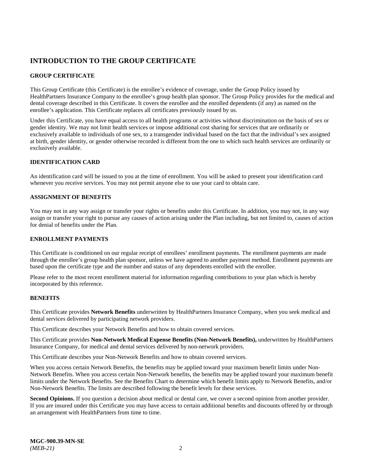## <span id="page-7-0"></span>**INTRODUCTION TO THE GROUP CERTIFICATE**

### <span id="page-7-1"></span>**GROUP CERTIFICATE**

This Group Certificate (this Certificate) is the enrollee's evidence of coverage, under the Group Policy issued by HealthPartners Insurance Company to the enrollee's group health plan sponsor. The Group Policy provides for the medical and dental coverage described in this Certificate. It covers the enrollee and the enrolled dependents (if any) as named on the enrollee's application. This Certificate replaces all certificates previously issued by us.

Under this Certificate, you have equal access to all health programs or activities without discrimination on the basis of sex or gender identity. We may not limit health services or impose additional cost sharing for services that are ordinarily or exclusively available to individuals of one sex, to a transgender individual based on the fact that the individual's sex assigned at birth, gender identity, or gender otherwise recorded is different from the one to which such health services are ordinarily or exclusively available.

#### <span id="page-7-2"></span>**IDENTIFICATION CARD**

An identification card will be issued to you at the time of enrollment. You will be asked to present your identification card whenever you receive services. You may not permit anyone else to use your card to obtain care.

#### <span id="page-7-3"></span>**ASSIGNMENT OF BENEFITS**

You may not in any way assign or transfer your rights or benefits under this Certificate. In addition, you may not, in any way assign or transfer your right to pursue any causes of action arising under the Plan including, but not limited to, causes of action for denial of benefits under the Plan.

#### <span id="page-7-4"></span>**ENROLLMENT PAYMENTS**

This Certificate is conditioned on our regular receipt of enrollees' enrollment payments. The enrollment payments are made through the enrollee's group health plan sponsor, unless we have agreed to another payment method. Enrollment payments are based upon the certificate type and the number and status of any dependents enrolled with the enrollee.

Please refer to the most recent enrollment material for information regarding contributions to your plan which is hereby incorporated by this reference.

#### <span id="page-7-5"></span>**BENEFITS**

This Certificate provides **Network Benefits** underwritten by HealthPartners Insurance Company, when you seek medical and dental services delivered by participating network providers.

This Certificate describes your Network Benefits and how to obtain covered services.

This Certificate provides **Non-Network Medical Expense Benefits (Non-Network Benefits),** underwritten by HealthPartners Insurance Company, for medical and dental services delivered by non-network providers.

This Certificate describes your Non-Network Benefits and how to obtain covered services.

When you access certain Network Benefits, the benefits may be applied toward your maximum benefit limits under Non-Network Benefits. When you access certain Non-Network benefits, the benefits may be applied toward your maximum benefit limits under the Network Benefits. See the Benefits Chart to determine which benefit limits apply to Network Benefits, and/or Non-Network Benefits. The limits are described following the benefit levels for these services.

**Second Opinions.** If you question a decision about medical or dental care, we cover a second opinion from another provider. If you are insured under this Certificate you may have access to certain additional benefits and discounts offered by or through an arrangement with HealthPartners from time to time.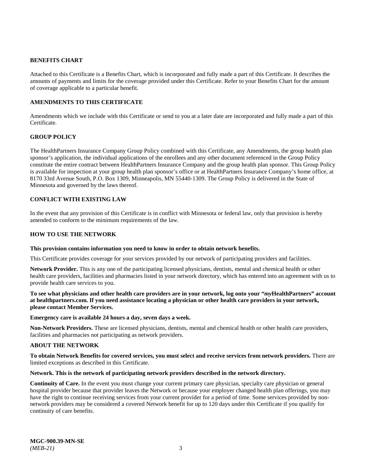#### <span id="page-8-0"></span>**BENEFITS CHART**

Attached to this Certificate is a Benefits Chart, which is incorporated and fully made a part of this Certificate. It describes the amounts of payments and limits for the coverage provided under this Certificate. Refer to your Benefits Chart for the amount of coverage applicable to a particular benefit.

#### <span id="page-8-1"></span>**AMENDMENTS TO THIS CERTIFICATE**

Amendments which we include with this Certificate or send to you at a later date are incorporated and fully made a part of this Certificate.

#### <span id="page-8-2"></span>**GROUP POLICY**

The HealthPartners Insurance Company Group Policy combined with this Certificate, any Amendments, the group health plan sponsor's application, the individual applications of the enrollees and any other document referenced in the Group Policy constitute the entire contract between HealthPartners Insurance Company and the group health plan sponsor. This Group Policy is available for inspection at your group health plan sponsor's office or at HealthPartners Insurance Company's home office, at 8170 33rd Avenue South, P.O. Box 1309, Minneapolis, MN 55440-1309. The Group Policy is delivered in the State of Minnesota and governed by the laws thereof.

#### <span id="page-8-3"></span>**CONFLICT WITH EXISTING LAW**

In the event that any provision of this Certificate is in conflict with Minnesota or federal law, only that provision is hereby amended to conform to the minimum requirements of the law.

#### <span id="page-8-4"></span>**HOW TO USE THE NETWORK**

#### **This provision contains information you need to know in order to obtain network benefits.**

This Certificate provides coverage for your services provided by our network of participating providers and facilities.

**Network Provider.** This is any one of the participating licensed physicians, dentists, mental and chemical health or other health care providers, facilities and pharmacies listed in your network directory, which has entered into an agreement with us to provide health care services to you.

**To see what physicians and other health care providers are in your network, log onto your "***my***HealthPartners" account at [healthpartners.com.](https://www.healthpartners.com/) If you need assistance locating a physician or other health care providers in your network, please contact Member Services.**

#### **Emergency care is available 24 hours a day, seven days a week.**

**Non-Network Providers.** These are licensed physicians, dentists, mental and chemical health or other health care providers, facilities and pharmacies not participating as network providers.

#### **ABOUT THE NETWORK**

#### **To obtain Network Benefits for covered services, you must select and receive services from network providers.** There are limited exceptions as described in this Certificate.

#### **Network. This is the network of participating network providers described in the network directory.**

**Continuity of Care.** In the event you must change your current primary care physician, specialty care physician or general hospital provider because that provider leaves the Network or because your employer changed health plan offerings, you may have the right to continue receiving services from your current provider for a period of time. Some services provided by nonnetwork providers may be considered a covered Network benefit for up to 120 days under this Certificate if you qualify for continuity of care benefits.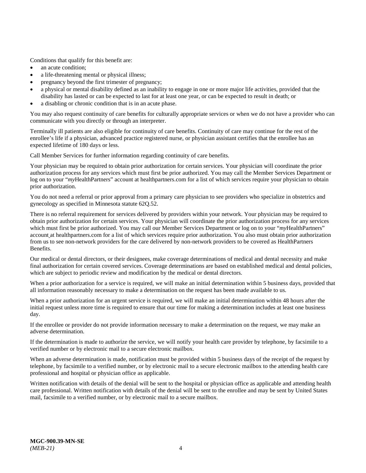Conditions that qualify for this benefit are:

- an acute condition:
- a life-threatening mental or physical illness;
- pregnancy beyond the first trimester of pregnancy;
- a physical or mental disability defined as an inability to engage in one or more major life activities, provided that the disability has lasted or can be expected to last for at least one year, or can be expected to result in death; or
- a disabling or chronic condition that is in an acute phase.

You may also request continuity of care benefits for culturally appropriate services or when we do not have a provider who can communicate with you directly or through an interpreter.

Terminally ill patients are also eligible for continuity of care benefits. Continuity of care may continue for the rest of the enrollee's life if a physician, advanced practice registered nurse, or physician assistant certifies that the enrollee has an expected lifetime of 180 days or less.

Call Member Services for further information regarding continuity of care benefits.

Your physician may be required to obtain prior authorization for certain services. Your physician will coordinate the prior authorization process for any services which must first be prior authorized. You may call the Member Services Department or log on to your "*my*HealthPartners" account at [healthpartners.com](https://www.healthpartners.com/hp/index.html) for a list of which services require your physician to obtain prior authorization.

You do not need a referral or prior approval from a primary care physician to see providers who specialize in obstetrics and gynecology as specified in Minnesota statute 62Q.52.

There is no referral requirement for services delivered by providers within your network. Your physician may be required to obtain prior authorization for certain services. Your physician will coordinate the prior authorization process for any services which must first be prior authorized. You may call our Member Services Department or log on to your "*my*HealthPartners" account a[t healthpartners.com](https://www.healthpartners.com/hp/index.html) for a list of which services require prior authorization. You also must obtain prior authorization from us to see non-network providers for the care delivered by non-network providers to be covered as HealthPartners Benefits.

Our medical or dental directors, or their designees, make coverage determinations of medical and dental necessity and make final authorization for certain covered services. Coverage determinations are based on established medical and dental policies, which are subject to periodic review and modification by the medical or dental directors.

When a prior authorization for a service is required, we will make an initial determination within 5 business days, provided that all information reasonably necessary to make a determination on the request has been made available to us.

When a prior authorization for an urgent service is required, we will make an initial determination within 48 hours after the initial request unless more time is required to ensure that our time for making a determination includes at least one business day.

If the enrollee or provider do not provide information necessary to make a determination on the request, we may make an adverse determination.

If the determination is made to authorize the service, we will notify your health care provider by telephone, by facsimile to a verified number or by electronic mail to a secure electronic mailbox.

When an adverse determination is made, notification must be provided within 5 business days of the receipt of the request by telephone, by facsimile to a verified number, or by electronic mail to a secure electronic mailbox to the attending health care professional and hospital or physician office as applicable.

Written notification with details of the denial will be sent to the hospital or physician office as applicable and attending health care professional. Written notification with details of the denial will be sent to the enrollee and may be sent by United States mail, facsimile to a verified number, or by electronic mail to a secure mailbox.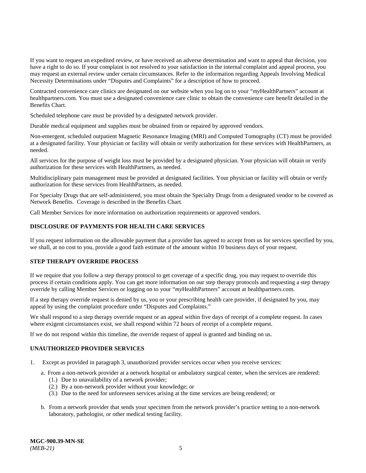If you want to request an expedited review, or have received an adverse determination and want to appeal that decision, you have a right to do so. If your complaint is not resolved to your satisfaction in the internal complaint and appeal process, you may request an external review under certain circumstances. Refer to the information regarding Appeals Involving Medical Necessity Determinations under "Disputes and Complaints" for a description of how to proceed.

Contracted convenience care clinics are designated on our website when you log on to your "*my*HealthPartners" account at [healthpartners.com.](https://www.healthpartners.com/hp/index.html) You must use a designated convenience care clinic to obtain the convenience care benefit detailed in the Benefits Chart.

Scheduled telephone care must be provided by a designated network provider.

Durable medical equipment and supplies must be obtained from or repaired by approved vendors.

Non-emergent, scheduled outpatient Magnetic Resonance Imaging (MRI) and Computed Tomography (CT) must be provided at a designated facility. Your physician or facility will obtain or verify authorization for these services with HealthPartners, as needed.

All services for the purpose of weight loss must be provided by a designated physician. Your physician will obtain or verify authorization for these services with HealthPartners, as needed.

Multidisciplinary pain management must be provided at designated facilities. Your physician or facility will obtain or verify authorization for these services from HealthPartners, as needed.

For Specialty Drugs that are self-administered, you must obtain the Specialty Drugs from a designated vendor to be covered as Network Benefits. Coverage is described in the Benefits Chart.

Call Member Services for more information on authorization requirements or approved vendors.

#### <span id="page-10-0"></span>**DISCLOSURE OF PAYMENTS FOR HEALTH CARE SERVICES**

If you request information on the allowable payment that a provider has agreed to accept from us for services specified by you, we shall, at no cost to you, provide a good faith estimate of the amount within 10 business days of your request.

#### <span id="page-10-1"></span>**STEP THERAPY OVERRIDE PROCESS**

If we require that you follow a step therapy protocol to get coverage of a specific drug, you may request to override this process if certain conditions apply. You can get more information on our step therapy protocols and requesting a step therapy override by calling Member Services or logging on to your "*my*HealthPartners" account at [healthpartners.com.](https://www.healthpartners.com/hp/index.html)

If a step therapy override request is denied by us, you or your prescribing health care provider, if designated by you, may appeal by using the complaint procedure under "Disputes and Complaints."

We shall respond to a step therapy override request or an appeal within five days of receipt of a complete request. In cases where exigent circumstances exist, we shall respond within 72 hours of receipt of a complete request.

If we do not respond within this timeline, the override request of appeal is granted and binding on us.

#### <span id="page-10-2"></span>**UNAUTHORIZED PROVIDER SERVICES**

- 1. Except as provided in paragraph 3, unauthorized provider services occur when you receive services:
	- a. From a non-network provider at a network hospital or ambulatory surgical center, when the services are rendered:
		- (1.) Due to unavailability of a network provider;
		- (2.) By a non-network provider without your knowledge; or
		- (3.) Due to the need for unforeseen services arising at the time services are being rendered; or
	- b. From a network provider that sends your specimen from the network provider's practice setting to a non-network laboratory, pathologist, or other medical testing facility.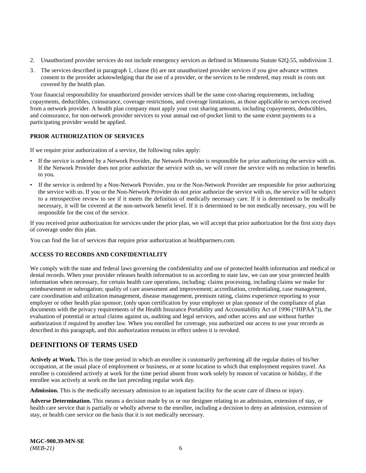- 2. Unauthorized provider services do not include emergency services as defined in Minnesota Statute 62Q.55, subdivision 3.
- 3. The services described in paragraph 1, clause (b) are not unauthorized provider services if you give advance written consent to the provider acknowledging that the use of a provider, or the services to be rendered, may result in costs not covered by the health plan.

Your financial responsibility for unauthorized provider services shall be the same cost-sharing requirements, including copayments, deductibles, coinsurance, coverage restrictions, and coverage limitations, as those applicable to services received from a network provider. A health plan company must apply your cost sharing amounts, including copayments, deductibles, and coinsurance, for non-network provider services to your annual out-of-pocket limit to the same extent payments to a participating provider would be applied.

#### **PRIOR AUTHORIZATION OF SERVICES**

If we require prior authorization of a service, the following rules apply:

- If the service is ordered by a Network Provider, the Network Provider is responsible for prior authorizing the service with us. If the Network Provider does not prior authorize the service with us, we will cover the service with no reduction in benefits to you.
- If the service is ordered by a Non-Network Provider, you or the Non-Network Provider are responsible for prior authorizing the service with us. If you or the Non-Network Provider do not prior authorize the service with us, the service will be subject to a retrospective review to see if it meets the definition of medically necessary care. If it is determined to be medically necessary, it will be covered at the non-network benefit level. If it is determined to be not medically necessary, you will be responsible for the cost of the service.

If you received prior authorization for services under the prior plan, we will accept that prior authorization for the first sixty days of coverage under this plan.

You can find the list of services that require prior authorization at [healthpartners.com.](https://www.healthpartners.com/hp/index.html)

#### <span id="page-11-0"></span>**ACCESS TO RECORDS AND CONFIDENTIALITY**

We comply with the state and federal laws governing the confidentiality and use of protected health information and medical or dental records. When your provider releases health information to us according to state law, we can use your protected health information when necessary, for certain health care operations, including: claims processing, including claims we make for reimbursement or subrogation; quality of care assessment and improvement; accreditation, credentialing, case management, care coordination and utilization management, disease management, premium rating, claims experience reporting to your employer or other health plan sponsor; (only upon certification by your employer or plan sponsor of the compliance of plan documents with the privacy requirements of the Health Insurance Portability and Accountability Act of 1996 ("HIPAA")), the evaluation of potential or actual claims against us, auditing and legal services, and other access and use without further authorization if required by another law. When you enrolled for coverage, you authorized our access to use your records as described in this paragraph, and this authorization remains in effect unless it is revoked.

## <span id="page-11-1"></span>**DEFINITIONS OF TERMS USED**

**Actively at Work.** This is the time period in which an enrollee is customarily performing all the regular duties of his/her occupation, at the usual place of employment or business, or at some location to which that employment requires travel. An enrollee is considered actively at work for the time period absent from work solely by reason of vacation or holiday, if the enrollee was actively at work on the last preceding regular work day.

**Admission.** This is the medically necessary admission to an inpatient facility for the acute care of illness or injury.

**Adverse Determination.** This means a decision made by us or our designee relating to an admission, extension of stay, or health care service that is partially or wholly adverse to the enrollee, including a decision to deny an admission, extension of stay, or health care service on the basis that it is not medically necessary.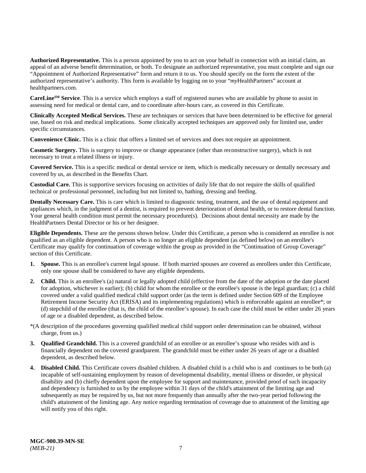**Authorized Representative.** This is a person appointed by you to act on your behalf in connection with an initial claim, an appeal of an adverse benefit determination, or both. To designate an authorized representative, you must complete and sign our "Appointment of Authorized Representative" form and return it to us. You should specify on the form the extent of the authorized representative's authority. This form is available by logging on to your "*my*HealthPartners" account at [healthpartners.com.](http://www.healthpartners.com/)

**CareLineSM Service**. This is a service which employs a staff of registered nurses who are available by phone to assist in assessing need for medical or dental care, and to coordinate after-hours care, as covered in this Certificate.

**Clinically Accepted Medical Services.** These are techniques or services that have been determined to be effective for general use, based on risk and medical implications. Some clinically accepted techniques are approved only for limited use, under specific circumstances.

**Convenience Clinic.** This is a clinic that offers a limited set of services and does not require an appointment.

**Cosmetic Surgery.** This is surgery to improve or change appearance (other than reconstructive surgery), which is not necessary to treat a related illness or injury.

**Covered Service.** This is a specific medical or dental service or item, which is medically necessary or dentally necessary and covered by us, as described in the Benefits Chart.

**Custodial Care.** This is supportive services focusing on activities of daily life that do not require the skills of qualified technical or professional personnel, including but not limited to, bathing, dressing and feeding.

**Dentally Necessary Care.** This is care which is limited to diagnostic testing, treatment, and the use of dental equipment and appliances which, in the judgment of a dentist, is required to prevent deterioration of dental health, or to restore dental function. Your general health condition must permit the necessary procedure(s). Decisions about dental necessity are made by the HealthPartners Dental Director or his or her designee.

**Eligible Dependents.** These are the persons shown below. Under this Certificate, a person who is considered an enrollee is not qualified as an eligible dependent. A person who is no longer an eligible dependent (as defined below) on an enrollee's Certificate may qualify for continuation of coverage within the group as provided in the "Continuation of Group Coverage" section of this Certificate.

- **1. Spouse.** This is an enrollee's current legal spouse. If both married spouses are covered as enrollees under this Certificate, only one spouse shall be considered to have any eligible dependents.
- **2. Child.** This is an enrollee's (a) natural or legally adopted child (effective from the date of the adoption or the date placed for adoption, whichever is earlier); (b) child for whom the enrollee or the enrollee's spouse is the legal guardian; (c) a child covered under a valid qualified medical child support order (as the term is defined under Section 609 of the Employee Retirement Income Security Act (ERISA) and its implementing regulations) which is enforceable against an enrollee\*; or (d) stepchild of the enrollee (that is, the child of the enrollee's spouse). In each case the child must be either under 26 years of age or a disabled dependent, as described below.
- \*(A description of the procedures governing qualified medical child support order determination can be obtained, without charge, from us.)
- **3. Qualified Grandchild.** This is a covered grandchild of an enrollee or an enrollee's spouse who resides with and is financially dependent on the covered grandparent. The grandchild must be either under 26 years of age or a disabled dependent, as described below.
- **4. Disabled Child.** This Certificate covers disabled children. A disabled child is a child who is and continues to be both (a) incapable of self-sustaining employment by reason of developmental disability, mental illness or disorder, or physical disability and (b) chiefly dependent upon the employee for support and maintenance, provided proof of such incapacity and dependency is furnished to us by the employee within 31 days of the child's attainment of the limiting age and subsequently as may be required by us, but not more frequently than annually after the two-year period following the child's attainment of the limiting age. Any notice regarding termination of coverage due to attainment of the limiting age will notify you of this right.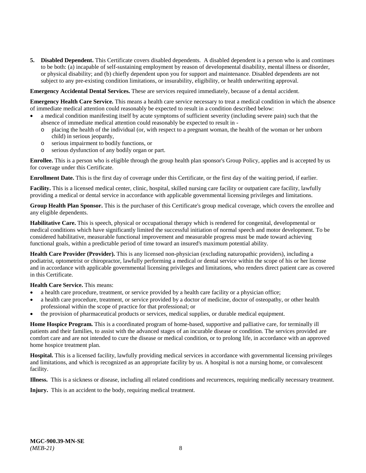**5. Disabled Dependent.** This Certificate covers disabled dependents. A disabled dependent is a person who is and continues to be both: (a) incapable of self-sustaining employment by reason of developmental disability, mental illness or disorder, or physical disability; and (b) chiefly dependent upon you for support and maintenance. Disabled dependents are not subject to any pre-existing condition limitations, or insurability, eligibility, or health underwriting approval.

**Emergency Accidental Dental Services.** These are services required immediately, because of a dental accident.

**Emergency Health Care Service.** This means a health care service necessary to treat a medical condition in which the absence of immediate medical attention could reasonably be expected to result in a condition described below:

- a medical condition manifesting itself by acute symptoms of sufficient severity (including severe pain) such that the absence of immediate medical attention could reasonably be expected to result in
	- o placing the health of the individual (or, with respect to a pregnant woman, the health of the woman or her unborn child) in serious jeopardy,
	- o serious impairment to bodily functions, or
	- o serious dysfunction of any bodily organ or part.

**Enrollee.** This is a person who is eligible through the group health plan sponsor's Group Policy, applies and is accepted by us for coverage under this Certificate.

**Enrollment Date.** This is the first day of coverage under this Certificate, or the first day of the waiting period, if earlier.

**Facility.** This is a licensed medical center, clinic, hospital, skilled nursing care facility or outpatient care facility, lawfully providing a medical or dental service in accordance with applicable governmental licensing privileges and limitations.

**Group Health Plan Sponsor.** This is the purchaser of this Certificate's group medical coverage, which covers the enrollee and any eligible dependents.

**Habilitative Care.** This is speech, physical or occupational therapy which is rendered for congenital, developmental or medical conditions which have significantly limited the successful initiation of normal speech and motor development. To be considered habilitative, measurable functional improvement and measurable progress must be made toward achieving functional goals, within a predictable period of time toward an insured's maximum potential ability.

**Health Care Provider (Provider).** This is any licensed non-physician (excluding naturopathic providers), including a podiatrist, optometrist or chiropractor, lawfully performing a medical or dental service within the scope of his or her license and in accordance with applicable governmental licensing privileges and limitations, who renders direct patient care as covered in this Certificate.

**Health Care Service.** This means:

- a health care procedure, treatment, or service provided by a health care facility or a physician office;
- a health care procedure, treatment, or service provided by a doctor of medicine, doctor of osteopathy, or other health professional within the scope of practice for that professional; or
- the provision of pharmaceutical products or services, medical supplies, or durable medical equipment.

**Home Hospice Program.** This is a coordinated program of home-based, supportive and palliative care, for terminally ill patients and their families, to assist with the advanced stages of an incurable disease or condition. The services provided are comfort care and are not intended to cure the disease or medical condition, or to prolong life, in accordance with an approved home hospice treatment plan.

**Hospital.** This is a licensed facility, lawfully providing medical services in accordance with governmental licensing privileges and limitations, and which is recognized as an appropriate facility by us. A hospital is not a nursing home, or convalescent facility.

**Illness.** This is a sickness or disease, including all related conditions and recurrences, requiring medically necessary treatment.

**Injury.** This is an accident to the body, requiring medical treatment.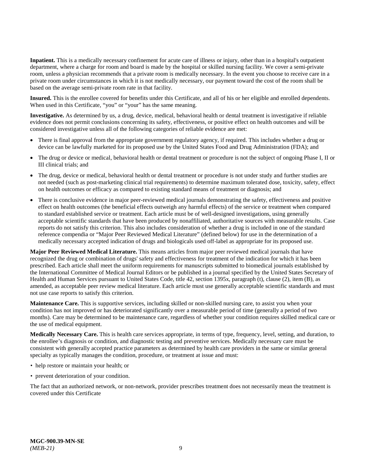**Inpatient.** This is a medically necessary confinement for acute care of illness or injury, other than in a hospital's outpatient department, where a charge for room and board is made by the hospital or skilled nursing facility. We cover a semi-private room, unless a physician recommends that a private room is medically necessary. In the event you choose to receive care in a private room under circumstances in which it is not medically necessary, our payment toward the cost of the room shall be based on the average semi-private room rate in that facility.

**Insured.** This is the enrollee covered for benefits under this Certificate, and all of his or her eligible and enrolled dependents. When used in this Certificate, "you" or "your" has the same meaning.

**Investigative.** As determined by us, a drug, device, medical, behavioral health or dental treatment is investigative if reliable evidence does not permit conclusions concerning its safety, effectiveness, or positive effect on health outcomes and will be considered investigative unless all of the following categories of reliable evidence are met:

- There is final approval from the appropriate government regulatory agency, if required. This includes whether a drug or device can be lawfully marketed for its proposed use by the United States Food and Drug Administration (FDA); and
- The drug or device or medical, behavioral health or dental treatment or procedure is not the subject of ongoing Phase I, II or III clinical trials; and
- The drug, device or medical, behavioral health or dental treatment or procedure is not under study and further studies are not needed (such as post-marketing clinical trial requirements) to determine maximum tolerated dose, toxicity, safety, effect on health outcomes or efficacy as compared to existing standard means of treatment or diagnosis; and
- There is conclusive evidence in major peer-reviewed medical journals demonstrating the safety, effectiveness and positive effect on health outcomes (the beneficial effects outweigh any harmful effects) of the service or treatment when compared to standard established service or treatment. Each article must be of well-designed investigations, using generally acceptable scientific standards that have been produced by nonaffiliated, authoritative sources with measurable results. Case reports do not satisfy this criterion. This also includes consideration of whether a drug is included in one of the standard reference compendia or "Major Peer Reviewed Medical Literature" (defined below) for use in the determination of a medically necessary accepted indication of drugs and biologicals used off-label as appropriate for its proposed use.

**Major Peer Reviewed Medical Literature.** This means articles from major peer reviewed medical journals that have recognized the drug or combination of drugs' safety and effectiveness for treatment of the indication for which it has been prescribed. Each article shall meet the uniform requirements for manuscripts submitted to biomedical journals established by the International Committee of Medical Journal Editors or be published in a journal specified by the United States Secretary of Health and Human Services pursuant to United States Code, title 42, section 1395x, paragraph (t), clause (2), item (B), as amended, as acceptable peer review medical literature. Each article must use generally acceptable scientific standards and must not use case reports to satisfy this criterion.

**Maintenance Care.** This is supportive services, including skilled or non-skilled nursing care, to assist you when your condition has not improved or has deteriorated significantly over a measurable period of time (generally a period of two months). Care may be determined to be maintenance care, regardless of whether your condition requires skilled medical care or the use of medical equipment.

**Medically Necessary Care.** This is health care services appropriate, in terms of type, frequency, level, setting, and duration, to the enrollee's diagnosis or condition, and diagnostic testing and preventive services. Medically necessary care must be consistent with generally accepted practice parameters as determined by health care providers in the same or similar general specialty as typically manages the condition, procedure, or treatment at issue and must:

- help restore or maintain your health; or
- prevent deterioration of your condition.

The fact that an authorized network, or non-network, provider prescribes treatment does not necessarily mean the treatment is covered under this Certificate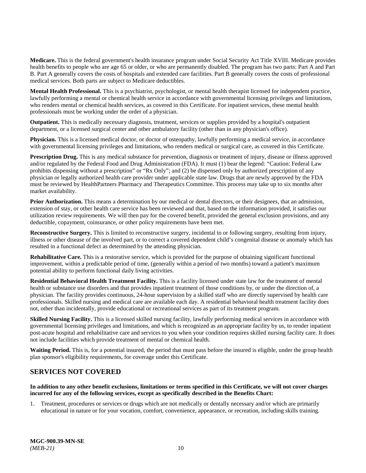**Medicare.** This is the federal government's health insurance program under Social Security Act Title XVIII. Medicare provides health benefits to people who are age 65 or older, or who are permanently disabled. The program has two parts: Part A and Part B. Part A generally covers the costs of hospitals and extended care facilities. Part B generally covers the costs of professional medical services. Both parts are subject to Medicare deductibles.

**Mental Health Professional.** This is a psychiatrist, psychologist, or mental health therapist licensed for independent practice, lawfully performing a mental or chemical health service in accordance with governmental licensing privileges and limitations, who renders mental or chemical health services, as covered in this Certificate. For inpatient services, these mental health professionals must be working under the order of a physician.

**Outpatient.** This is medically necessary diagnosis, treatment, services or supplies provided by a hospital's outpatient department, or a licensed surgical center and other ambulatory facility (other than in any physician's office).

**Physician.** This is a licensed medical doctor, or doctor of osteopathy, lawfully performing a medical service, in accordance with governmental licensing privileges and limitations, who renders medical or surgical care, as covered in this Certificate.

**Prescription Drug.** This is any medical substance for prevention, diagnosis or treatment of injury, disease or illness approved and/or regulated by the Federal Food and Drug Administration (FDA). It must (1) bear the legend: "Caution: Federal Law prohibits dispensing without a prescription" or "Rx Only"; and (2) be dispensed only by authorized prescription of any physician or legally authorized health care provider under applicable state law. Drugs that are newly approved by the FDA must be reviewed by HealthPartners Pharmacy and Therapeutics Committee. This process may take up to six months after market availability.

**Prior Authorization.** This means a determination by our medical or dental directors, or their designees, that an admission, extension of stay, or other health care service has been reviewed and that, based on the information provided, it satisfies our utilization review requirements. We will then pay for the covered benefit, provided the general exclusion provisions, and any deductible, copayment, coinsurance, or other policy requirements have been met.

**Reconstructive Surgery.** This is limited to reconstructive surgery, incidental to or following surgery, resulting from injury, illness or other disease of the involved part, or to correct a covered dependent child's congenital disease or anomaly which has resulted in a functional defect as determined by the attending physician.

**Rehabilitative Care.** This is a restorative service, which is provided for the purpose of obtaining significant functional improvement, within a predictable period of time, (generally within a period of two months) toward a patient's maximum potential ability to perform functional daily living activities.

**Residential Behavioral Health Treatment Facility.** This is a facility licensed under state law for the treatment of mental health or substance use disorders and that provides inpatient treatment of those conditions by, or under the direction of, a physician. The facility provides continuous, 24-hour supervision by a skilled staff who are directly supervised by health care professionals. Skilled nursing and medical care are available each day. A residential behavioral health treatment facility does not, other than incidentally, provide educational or recreational services as part of its treatment program.

**Skilled Nursing Facility.** This is a licensed skilled nursing facility, lawfully performing medical services in accordance with governmental licensing privileges and limitations, and which is recognized as an appropriate facility by us, to render inpatient post-acute hospital and rehabilitative care and services to you when your condition requires skilled nursing facility care. It does not include facilities which provide treatment of mental or chemical health.

**Waiting Period.** This is, for a potential insured, the period that must pass before the insured is eligible, under the group health plan sponsor's eligibility requirements, for coverage under this Certificate.

## <span id="page-15-0"></span>**SERVICES NOT COVERED**

#### **In addition to any other benefit exclusions, limitations or terms specified in this Certificate, we will not cover charges incurred for any of the following services, except as specifically described in the Benefits Chart:**

1. Treatment, procedures or services or drugs which are not medically or dentally necessary and/or which are primarily educational in nature or for your vocation, comfort, convenience, appearance, or recreation, including skills training.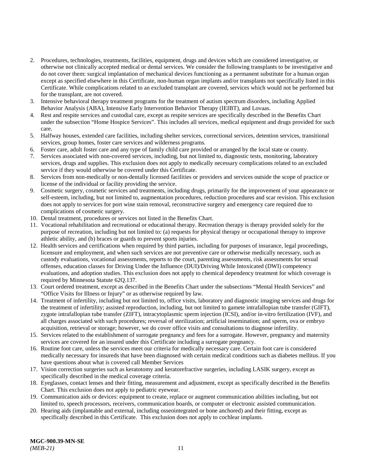- 2. Procedures, technologies, treatments, facilities, equipment, drugs and devices which are considered investigative, or otherwise not clinically accepted medical or dental services. We consider the following transplants to be investigative and do not cover them: surgical implantation of mechanical devices functioning as a permanent substitute for a human organ except as specified elsewhere in this Certificate, non-human organ implants and/or transplants not specifically listed in this Certificate. While complications related to an excluded transplant are covered, services which would not be performed but for the transplant, are not covered.
- 3. Intensive behavioral therapy treatment programs for the treatment of autism spectrum disorders, including Applied Behavior Analysis (ABA), Intensive Early Intervention Behavior Therapy (IEIBT), and Lovaas.
- 4. Rest and respite services and custodial care, except as respite services are specifically described in the Benefits Chart under the subsection "Home Hospice Services". This includes all services, medical equipment and drugs provided for such care.
- 5. Halfway houses, extended care facilities, including shelter services, correctional services, detention services, transitional services, group homes, foster care services and wilderness programs.
- 6. Foster care, adult foster care and any type of family child care provided or arranged by the local state or county.
- 7. Services associated with non-covered services, including, but not limited to, diagnostic tests, monitoring, laboratory services, drugs and supplies. This exclusion does not apply to medically necessary complications related to an excluded service if they would otherwise be covered under this Certificate.
- 8. Services from non-medically or non-dentally licensed facilities or providers and services outside the scope of practice or license of the individual or facility providing the service.
- 9. Cosmetic surgery, cosmetic services and treatments, including drugs, primarily for the improvement of your appearance or self-esteem, including, but not limited to, augmentation procedures, reduction procedures and scar revision. This exclusion does not apply to services for port wine stain removal, reconstructive surgery and emergency care required due to complications of cosmetic surgery.
- 10. Dental treatment, procedures or services not listed in the Benefits Chart.
- 11. Vocational rehabilitation and recreational or educational therapy. Recreation therapy is therapy provided solely for the purpose of recreation, including but not limited to: (a) requests for physical therapy or occupational therapy to improve athletic ability, and (b) braces or guards to prevent sports injuries.
- 12. Health services and certifications when required by third parties, including for purposes of insurance, legal proceedings, licensure and employment, and when such services are not preventive care or otherwise medically necessary, such as custody evaluations, vocational assessments, reports to the court, parenting assessments, risk assessments for sexual offenses, education classes for Driving Under the Influence (DUI)/Driving While Intoxicated (DWI) competency evaluations, and adoption studies. This exclusion does not apply to chemical dependency treatment for which coverage is required by Minnesota Statute 62Q.137.
- 13. Court ordered treatment, except as described in the Benefits Chart under the subsections "Mental Health Services" and "Office Visits for Illness or Injury" or as otherwise required by law.
- 14. Treatment of infertility, including but not limited to, office visits, laboratory and diagnostic imaging services and drugs for the treatment of infertility; assisted reproduction, including, but not limited to gamete intrafallopian tube transfer (GIFT), zygote intrafallopian tube transfer (ZIFT), intracytoplasmic sperm injection (ICSI), and/or in-vitro fertilization (IVF), and all charges associated with such procedures; reversal of sterilization; artificial insemination; and sperm, ova or embryo acquisition, retrieval or storage; however, we do cover office visits and consultations to diagnose infertility.
- 15. Services related to the establishment of surrogate pregnancy and fees for a surrogate. However, pregnancy and maternity services are covered for an insured under this Certificate including a surrogate pregnancy.
- 16. Routine foot care, unless the services meet our criteria for medically necessary care. Certain foot care is considered medically necessary for insureds that have been diagnosed with certain medical conditions such as diabetes mellitus. If you have questions about what is covered call Member Services
- 17. Vision correction surgeries such as keratotomy and keratorefractive surgeries, including LASIK surgery, except as specifically described in the medical coverage criteria.
- 18. Eyeglasses, contact lenses and their fitting, measurement and adjustment, except as specifically described in the Benefits Chart. This exclusion does not apply to pediatric eyewear.
- 19. Communication aids or devices: equipment to create, replace or augment communication abilities including, but not limited to, speech processors, receivers, communication boards, or computer or electronic assisted communication.
- 20. Hearing aids (implantable and external, including osseointegrated or bone anchored) and their fitting, except as specifically described in this Certificate. This exclusion does not apply to cochlear implants.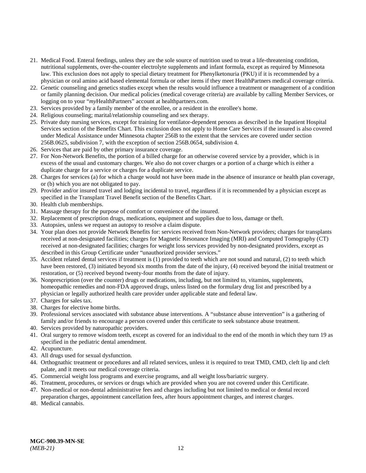- 21. Medical Food. Enteral feedings, unless they are the sole source of nutrition used to treat a life-threatening condition, nutritional supplements, over-the-counter electrolyte supplements and infant formula, except as required by Minnesota law. This exclusion does not apply to special dietary treatment for Phenylketonuria (PKU) if it is recommended by a physician or oral amino acid based elemental formula or other items if they meet HealthPartners medical coverage criteria.
- 22. Genetic counseling and genetics studies except when the results would influence a treatment or management of a condition or family planning decision. Our medical policies (medical coverage criteria) are available by calling Member Services, or logging on to your "*my*HealthPartners" account at [healthpartners.com.](https://www.healthpartners.com/hp/index.html)
- 23. Services provided by a family member of the enrollee, or a resident in the enrollee's home.
- 24. Religious counseling; marital/relationship counseling and sex therapy.
- 25. Private duty nursing services, except for training for ventilator-dependent persons as described in the Inpatient Hospital Services section of the Benefits Chart. This exclusion does not apply to Home Care Services if the insured is also covered under Medical Assistance under Minnesota chapter 256B to the extent that the services are covered under section 256B.0625, subdivision 7, with the exception of section 256B.0654, subdivision 4.
- 26. Services that are paid by other primary insurance coverage.
- 27. For Non-Network Benefits, the portion of a billed charge for an otherwise covered service by a provider, which is in excess of the usual and customary charges. We also do not cover charges or a portion of a charge which is either a duplicate charge for a service or charges for a duplicate service.
- 28. Charges for services (a) for which a charge would not have been made in the absence of insurance or health plan coverage, or (b) which you are not obligated to pay.
- 29. Provider and/or insured travel and lodging incidental to travel, regardless if it is recommended by a physician except as specified in the Transplant Travel Benefit section of the Benefits Chart.
- 30. Health club memberships.
- 31. Massage therapy for the purpose of comfort or convenience of the insured.
- 32. Replacement of prescription drugs, medications, equipment and supplies due to loss, damage or theft.
- 33. Autopsies, unless we request an autopsy to resolve a claim dispute.
- 34. Your plan does not provide Network Benefits for: services received from Non-Network providers; charges for transplants received at non-designated facilities; charges for Magnetic Resonance Imaging (MRI) and Computed Tomography (CT) received at non-designated facilities; charges for weight loss services provided by non-designated providers, except as described in this Group Certificate under "unauthorized provider services."
- 35. Accident related dental services if treatment is (1) provided to teeth which are not sound and natural, (2) to teeth which have been restored, (3) initiated beyond six months from the date of the injury, (4) received beyond the initial treatment or restoration, or (5) received beyond twenty-four months from the date of injury.
- 36. Nonprescription (over the counter) drugs or medications, including, but not limited to, vitamins, supplements, homeopathic remedies and non-FDA approved drugs, unless listed on the formulary drug list and prescribed by a physician or legally authorized health care provider under applicable state and federal law.
- 37. Charges for sales tax.
- 38. Charges for elective home births.
- 39. Professional services associated with substance abuse interventions. A "substance abuse intervention" is a gathering of family and/or friends to encourage a person covered under this certificate to seek substance abuse treatment.
- 40. Services provided by naturopathic providers.
- 41. Oral surgery to remove wisdom teeth, except as covered for an individual to the end of the month in which they turn 19 as specified in the pediatric dental amendment.
- 42. Acupuncture.
- 43. All drugs used for sexual dysfunction.
- 44. Orthognathic treatment or procedures and all related services, unless it is required to treat TMD, CMD, cleft lip and cleft palate, and it meets our medical coverage criteria.
- 45. Commercial weight loss programs and exercise programs, and all weight loss/bariatric surgery.
- 46. Treatment, procedures, or services or drugs which are provided when you are not covered under this Certificate.
- 47. Non-medical or non-dental administrative fees and charges including but not limited to medical or dental record preparation charges, appointment cancellation fees, after hours appointment charges, and interest charges.
- 48. Medical cannabis.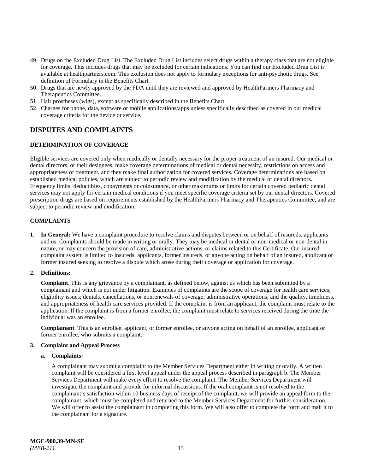- 49. Drugs on the Excluded Drug List. The Excluded Drug List includes select drugs within a therapy class that are not eligible for coverage. This includes drugs that may be excluded for certain indications. You can find our Excluded Drug List is available at [healthpartners.com.](https://www.healthpartners.com/hp/index.html) This exclusion does not apply to formulary exceptions for anti-psychotic drugs. See definition of Formulary in the Benefits Chart.
- 50. Drugs that are newly approved by the FDA until they are reviewed and approved by HealthPartners Pharmacy and Therapeutics Committee.
- 51. Hair prostheses (wigs), except as specifically described in the Benefits Chart.
- 52. Charges for phone, data, software or mobile applications/apps unless specifically described as covered in our medical coverage criteria for the device or service.

## <span id="page-18-0"></span>**DISPUTES AND COMPLAINTS**

#### <span id="page-18-1"></span>**DETERMINATION OF COVERAGE**

Eligible services are covered only when medically or dentally necessary for the proper treatment of an insured. Our medical or dental directors, or their designees, make coverage determinations of medical or dental necessity, restrictions on access and appropriateness of treatment, and they make final authorization for covered services. Coverage determinations are based on established medical policies, which are subject to periodic review and modification by the medical or dental directors. Frequency limits, deductibles, copayments or coinsurance, or other maximums or limits for certain covered pediatric dental services may not apply for certain medical conditions if you meet specific coverage criteria set by our dental directors. Covered prescription drugs are based on requirements established by the HealthPartners Pharmacy and Therapeutics Committee, and are subject to periodic review and modification.

#### <span id="page-18-2"></span>**COMPLAINTS**

**1. In General:** We have a complaint procedure to resolve claims and disputes between or on behalf of insureds, applicants and us. Complaints should be made in writing or orally. They may be medical or dental or non-medical or non-dental in nature, or may concern the provision of care, administrative actions, or claims related to this Certificate. Our insured complaint system is limited to insureds, applicants, former insureds, or anyone acting on behalf of an insured, applicant or former insured seeking to resolve a dispute which arose during their coverage or application for coverage.

#### **2. Definitions:**

**Complaint**. This is any grievance by a complainant, as defined below, against us which has been submitted by a complainant and which is not under litigation. Examples of complaints are the scope of coverage for health care services; eligibility issues; denials, cancellations, or nonrenewals of coverage; administrative operations; and the quality, timeliness, and appropriateness of health care services provided. If the complaint is from an applicant, the complaint must relate to the application. If the complaint is from a former enrollee, the complaint must relate to services received during the time the individual was an enrollee.

**Complainant**. This is an enrollee, applicant, or former enrollee, or anyone acting on behalf of an enrollee, applicant or former enrollee, who submits a complaint.

#### **3. Complaint and Appeal Process**

#### **a. Complaints:**

A complainant may submit a complaint to the Member Services Department either in writing or orally. A written complaint will be considered a first level appeal under the appeal process described in paragraph b. The Member Services Department will make every effort to resolve the complaint. The Member Services Department will investigate the complaint and provide for informal discussions. If the oral complaint is not resolved to the complainant's satisfaction within 10 business days of receipt of the complaint, we will provide an appeal form to the complainant, which must be completed and returned to the Member Services Department for further consideration. We will offer to assist the complainant in completing this form. We will also offer to complete the form and mail it to the complainant for a signature.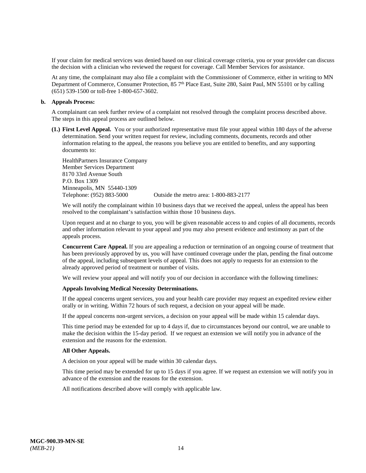If your claim for medical services was denied based on our clinical coverage criteria, you or your provider can discuss the decision with a clinician who reviewed the request for coverage. Call Member Services for assistance.

At any time, the complainant may also file a complaint with the Commissioner of Commerce, either in writing to MN Department of Commerce, Consumer Protection, 85 7<sup>th</sup> Place East, Suite 280, Saint Paul, MN 55101 or by calling (651) 539-1500 or toll-free 1-800-657-3602.

#### **b. Appeals Process:**

A complainant can seek further review of a complaint not resolved through the complaint process described above. The steps in this appeal process are outlined below.

**(1.) First Level Appeal.** You or your authorized representative must file your appeal within 180 days of the adverse determination. Send your written request for review, including comments, documents, records and other information relating to the appeal, the reasons you believe you are entitled to benefits, and any supporting documents to:

HealthPartners Insurance Company Member Services Department 8170 33rd Avenue South P.O. Box 1309 Minneapolis, MN 55440-1309<br>Telephone: (952) 883-5000

Outside the metro area: 1-800-883-2177

We will notify the complainant within 10 business days that we received the appeal, unless the appeal has been resolved to the complainant's satisfaction within those 10 business days.

Upon request and at no charge to you, you will be given reasonable access to and copies of all documents, records and other information relevant to your appeal and you may also present evidence and testimony as part of the appeals process.

**Concurrent Care Appeal.** If you are appealing a reduction or termination of an ongoing course of treatment that has been previously approved by us, you will have continued coverage under the plan, pending the final outcome of the appeal, including subsequent levels of appeal. This does not apply to requests for an extension to the already approved period of treatment or number of visits.

We will review your appeal and will notify you of our decision in accordance with the following timelines:

#### **Appeals Involving Medical Necessity Determinations.**

If the appeal concerns urgent services, you and your health care provider may request an expedited review either orally or in writing. Within 72 hours of such request, a decision on your appeal will be made.

If the appeal concerns non-urgent services, a decision on your appeal will be made within 15 calendar days.

This time period may be extended for up to 4 days if, due to circumstances beyond our control, we are unable to make the decision within the 15-day period. If we request an extension we will notify you in advance of the extension and the reasons for the extension.

#### **All Other Appeals.**

A decision on your appeal will be made within 30 calendar days.

This time period may be extended for up to 15 days if you agree. If we request an extension we will notify you in advance of the extension and the reasons for the extension.

All notifications described above will comply with applicable law.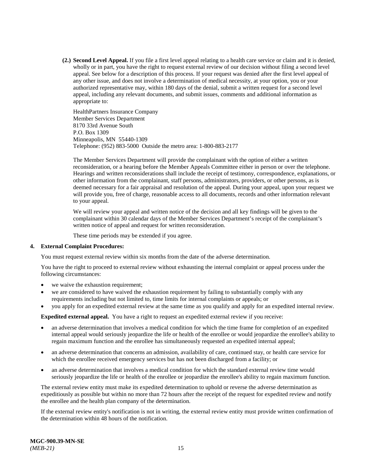**(2.) Second Level Appeal.** If you file a first level appeal relating to a health care service or claim and it is denied, wholly or in part, you have the right to request external review of our decision without filing a second level appeal. See below for a description of this process. If your request was denied after the first level appeal of any other issue, and does not involve a determination of medical necessity, at your option, you or your authorized representative may, within 180 days of the denial, submit a written request for a second level appeal, including any relevant documents, and submit issues, comments and additional information as appropriate to:

HealthPartners Insurance Company Member Services Department 8170 33rd Avenue South P.O. Box 1309 Minneapolis, MN 55440-1309 Telephone: (952) 883-5000 Outside the metro area: 1-800-883-2177

The Member Services Department will provide the complainant with the option of either a written reconsideration, or a hearing before the Member Appeals Committee either in person or over the telephone. Hearings and written reconsiderations shall include the receipt of testimony, correspondence, explanations, or other information from the complainant, staff persons, administrators, providers, or other persons, as is deemed necessary for a fair appraisal and resolution of the appeal. During your appeal, upon your request we will provide you, free of charge, reasonable access to all documents, records and other information relevant to your appeal.

We will review your appeal and written notice of the decision and all key findings will be given to the complainant within 30 calendar days of the Member Services Department's receipt of the complainant's written notice of appeal and request for written reconsideration.

These time periods may be extended if you agree.

#### **4. External Complaint Procedures:**

You must request external review within six months from the date of the adverse determination.

You have the right to proceed to external review without exhausting the internal complaint or appeal process under the following circumstances:

- we waive the exhaustion requirement;
- we are considered to have waived the exhaustion requirement by failing to substantially comply with any requirements including but not limited to, time limits for internal complaints or appeals; or
- you apply for an expedited external review at the same time as you qualify and apply for an expedited internal review.

**Expedited external appeal.** You have a right to request an expedited external review if you receive:

- an adverse determination that involves a medical condition for which the time frame for completion of an expedited internal appeal would seriously jeopardize the life or health of the enrollee or would jeopardize the enrollee's ability to regain maximum function and the enrollee has simultaneously requested an expedited internal appeal;
- an adverse determination that concerns an admission, availability of care, continued stay, or health care service for which the enrollee received emergency services but has not been discharged from a facility; or
- an adverse determination that involves a medical condition for which the standard external review time would seriously jeopardize the life or health of the enrollee or jeopardize the enrollee's ability to regain maximum function.

The external review entity must make its expedited determination to uphold or reverse the adverse determination as expeditiously as possible but within no more than 72 hours after the receipt of the request for expedited review and notify the enrollee and the health plan company of the determination.

If the external review entity's notification is not in writing, the external review entity must provide written confirmation of the determination within 48 hours of the notification.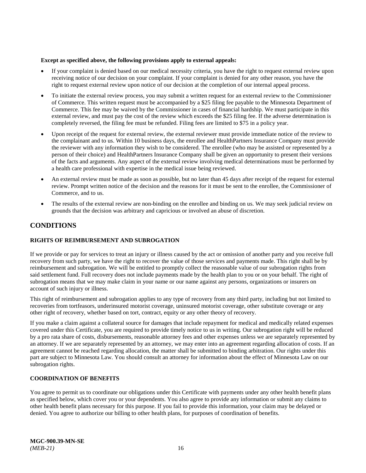#### **Except as specified above, the following provisions apply to external appeals:**

- If your complaint is denied based on our medical necessity criteria, you have the right to request external review upon receiving notice of our decision on your complaint. If your complaint is denied for any other reason, you have the right to request external review upon notice of our decision at the completion of our internal appeal process.
- To initiate the external review process, you may submit a written request for an external review to the Commissioner of Commerce. This written request must be accompanied by a \$25 filing fee payable to the Minnesota Department of Commerce. This fee may be waived by the Commissioner in cases of financial hardship. We must participate in this external review, and must pay the cost of the review which exceeds the \$25 filing fee. If the adverse determination is completely reversed, the filing fee must be refunded. Filing fees are limited to \$75 in a policy year.
- Upon receipt of the request for external review, the external reviewer must provide immediate notice of the review to the complainant and to us. Within 10 business days, the enrollee and HealthPartners Insurance Company must provide the reviewer with any information they wish to be considered. The enrollee (who may be assisted or represented by a person of their choice) and HealthPartners Insurance Company shall be given an opportunity to present their versions of the facts and arguments. Any aspect of the external review involving medical determinations must be performed by a health care professional with expertise in the medical issue being reviewed.
- An external review must be made as soon as possible, but no later than 45 days after receipt of the request for external review. Prompt written notice of the decision and the reasons for it must be sent to the enrollee, the Commissioner of Commerce, and to us.
- The results of the external review are non-binding on the enrollee and binding on us. We may seek judicial review on grounds that the decision was arbitrary and capricious or involved an abuse of discretion.

## <span id="page-21-0"></span>**CONDITIONS**

#### <span id="page-21-1"></span>**RIGHTS OF REIMBURSEMENT AND SUBROGATION**

If we provide or pay for services to treat an injury or illness caused by the act or omission of another party and you receive full recovery from such party, we have the right to recover the value of those services and payments made. This right shall be by reimbursement and subrogation. We will be entitled to promptly collect the reasonable value of our subrogation rights from said settlement fund. Full recovery does not include payments made by the health plan to you or on your behalf. The right of subrogation means that we may make claim in your name or our name against any persons, organizations or insurers on account of such injury or illness.

This right of reimbursement and subrogation applies to any type of recovery from any third party, including but not limited to recoveries from tortfeasors, underinsured motorist coverage, uninsured motorist coverage, other substitute coverage or any other right of recovery, whether based on tort, contract, equity or any other theory of recovery.

If you make a claim against a collateral source for damages that include repayment for medical and medically related expenses covered under this Certificate, you are required to provide timely notice to us in writing. Our subrogation right will be reduced by a pro rata share of costs, disbursements, reasonable attorney fees and other expenses unless we are separately represented by an attorney. If we are separately represented by an attorney, we may enter into an agreement regarding allocation of costs. If an agreement cannot be reached regarding allocation, the matter shall be submitted to binding arbitration. Our rights under this part are subject to Minnesota Law. You should consult an attorney for information about the effect of Minnesota Law on our subrogation rights.

#### <span id="page-21-2"></span>**COORDINATION OF BENEFITS**

You agree to permit us to coordinate our obligations under this Certificate with payments under any other health benefit plans as specified below, which cover you or your dependents. You also agree to provide any information or submit any claims to other health benefit plans necessary for this purpose. If you fail to provide this information, your claim may be delayed or denied. You agree to authorize our billing to other health plans, for purposes of coordination of benefits.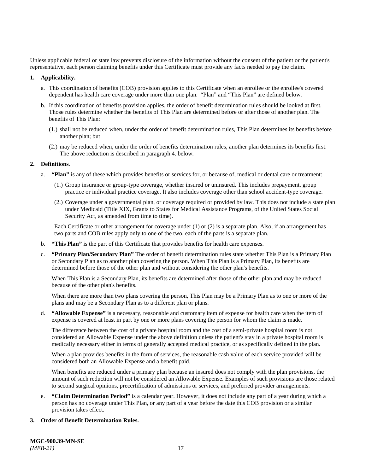Unless applicable federal or state law prevents disclosure of the information without the consent of the patient or the patient's representative, each person claiming benefits under this Certificate must provide any facts needed to pay the claim.

#### **1. Applicability.**

- a. This coordination of benefits (COB) provision applies to this Certificate when an enrollee or the enrollee's covered dependent has health care coverage under more than one plan. "Plan" and "This Plan" are defined below.
- b. If this coordination of benefits provision applies, the order of benefit determination rules should be looked at first. Those rules determine whether the benefits of This Plan are determined before or after those of another plan. The benefits of This Plan:
	- (1.) shall not be reduced when, under the order of benefit determination rules, This Plan determines its benefits before another plan; but
	- (2.) may be reduced when, under the order of benefits determination rules, another plan determines its benefits first. The above reduction is described in paragraph 4. below.

#### **2. Definitions**.

- a. **"Plan"** is any of these which provides benefits or services for, or because of, medical or dental care or treatment:
	- (1.) Group insurance or group-type coverage, whether insured or uninsured. This includes prepayment, group practice or individual practice coverage. It also includes coverage other than school accident-type coverage.
	- (2.) Coverage under a governmental plan, or coverage required or provided by law. This does not include a state plan under Medicaid (Title XIX, Grants to States for Medical Assistance Programs, of the United States Social Security Act, as amended from time to time).

Each Certificate or other arrangement for coverage under (1) or (2) is a separate plan. Also, if an arrangement has two parts and COB rules apply only to one of the two, each of the parts is a separate plan.

- b. **"This Plan"** is the part of this Certificate that provides benefits for health care expenses.
- c. **"Primary Plan/Secondary Plan"** The order of benefit determination rules state whether This Plan is a Primary Plan or Secondary Plan as to another plan covering the person. When This Plan is a Primary Plan, its benefits are determined before those of the other plan and without considering the other plan's benefits.

When This Plan is a Secondary Plan, its benefits are determined after those of the other plan and may be reduced because of the other plan's benefits.

When there are more than two plans covering the person, This Plan may be a Primary Plan as to one or more of the plans and may be a Secondary Plan as to a different plan or plans.

d. **"Allowable Expense"** is a necessary, reasonable and customary item of expense for health care when the item of expense is covered at least in part by one or more plans covering the person for whom the claim is made.

The difference between the cost of a private hospital room and the cost of a semi-private hospital room is not considered an Allowable Expense under the above definition unless the patient's stay in a private hospital room is medically necessary either in terms of generally accepted medical practice, or as specifically defined in the plan.

When a plan provides benefits in the form of services, the reasonable cash value of each service provided will be considered both an Allowable Expense and a benefit paid.

When benefits are reduced under a primary plan because an insured does not comply with the plan provisions, the amount of such reduction will not be considered an Allowable Expense. Examples of such provisions are those related to second surgical opinions, precertification of admissions or services, and preferred provider arrangements.

e. **"Claim Determination Period"** is a calendar year. However, it does not include any part of a year during which a person has no coverage under This Plan, or any part of a year before the date this COB provision or a similar provision takes effect.

#### **3. Order of Benefit Determination Rules.**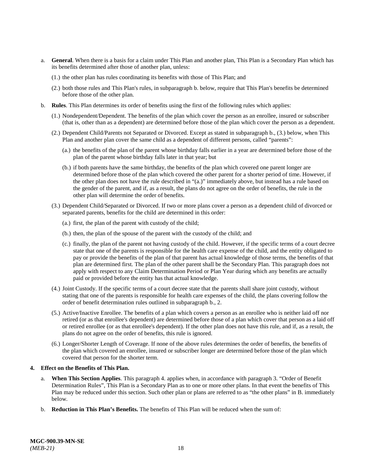- a. **General**. When there is a basis for a claim under This Plan and another plan, This Plan is a Secondary Plan which has its benefits determined after those of another plan, unless:
	- (1.) the other plan has rules coordinating its benefits with those of This Plan; and
	- (2.) both those rules and This Plan's rules, in subparagraph b. below, require that This Plan's benefits be determined before those of the other plan.
- b. **Rules**. This Plan determines its order of benefits using the first of the following rules which applies:
	- (1.) Nondependent/Dependent. The benefits of the plan which cover the person as an enrollee, insured or subscriber (that is, other than as a dependent) are determined before those of the plan which cover the person as a dependent.
	- (2.) Dependent Child/Parents not Separated or Divorced. Except as stated in subparagraph b., (3.) below, when This Plan and another plan cover the same child as a dependent of different persons, called "parents":
		- (a.) the benefits of the plan of the parent whose birthday falls earlier in a year are determined before those of the plan of the parent whose birthday falls later in that year; but
		- (b.) if both parents have the same birthday, the benefits of the plan which covered one parent longer are determined before those of the plan which covered the other parent for a shorter period of time. However, if the other plan does not have the rule described in "(a.)" immediately above, but instead has a rule based on the gender of the parent, and if, as a result, the plans do not agree on the order of benefits, the rule in the other plan will determine the order of benefits.
	- (3.) Dependent Child/Separated or Divorced. If two or more plans cover a person as a dependent child of divorced or separated parents, benefits for the child are determined in this order:
		- (a.) first, the plan of the parent with custody of the child;
		- (b.) then, the plan of the spouse of the parent with the custody of the child; and
		- (c.) finally, the plan of the parent not having custody of the child. However, if the specific terms of a court decree state that one of the parents is responsible for the health care expense of the child, and the entity obligated to pay or provide the benefits of the plan of that parent has actual knowledge of those terms, the benefits of that plan are determined first. The plan of the other parent shall be the Secondary Plan. This paragraph does not apply with respect to any Claim Determination Period or Plan Year during which any benefits are actually paid or provided before the entity has that actual knowledge.
	- (4.) Joint Custody. If the specific terms of a court decree state that the parents shall share joint custody, without stating that one of the parents is responsible for health care expenses of the child, the plans covering follow the order of benefit determination rules outlined in subparagraph b., 2.
	- (5.) Active/Inactive Enrollee. The benefits of a plan which covers a person as an enrollee who is neither laid off nor retired (or as that enrollee's dependent) are determined before those of a plan which cover that person as a laid off or retired enrollee (or as that enrollee's dependent). If the other plan does not have this rule, and if, as a result, the plans do not agree on the order of benefits, this rule is ignored.
	- (6.) Longer/Shorter Length of Coverage. If none of the above rules determines the order of benefits, the benefits of the plan which covered an enrollee, insured or subscriber longer are determined before those of the plan which covered that person for the shorter term.

#### **4. Effect on the Benefits of This Plan.**

- a. **When This Section Applies**. This paragraph 4. applies when, in accordance with paragraph 3. "Order of Benefit Determination Rules", This Plan is a Secondary Plan as to one or more other plans. In that event the benefits of This Plan may be reduced under this section. Such other plan or plans are referred to as "the other plans" in B. immediately below.
- b. **Reduction in This Plan's Benefits.** The benefits of This Plan will be reduced when the sum of: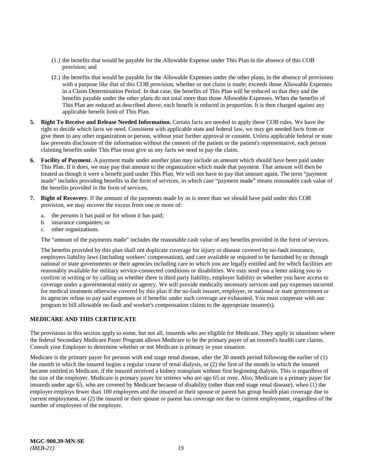- (1.) the benefits that would be payable for the Allowable Expense under This Plan in the absence of this COB provision; and
- (2.) the benefits that would be payable for the Allowable Expenses under the other plans, in the absence of provisions with a purpose like that of this COB provision, whether or not claim is made; exceeds those Allowable Expenses in a Claim Determination Period. In that case, the benefits of This Plan will be reduced so that they and the benefits payable under the other plans do not total more than those Allowable Expenses. When the benefits of This Plan are reduced as described above, each benefit is reduced in proportion. It is then charged against any applicable benefit limit of This Plan.
- **5. Right To Receive and Release Needed Information.** Certain facts are needed to apply these COB rules. We have the right to decide which facts we need. Consistent with applicable state and federal law, we may get needed facts from or give them to any other organization or person, without your further approval or consent. Unless applicable federal or state law prevents disclosure of the information without the consent of the patient or the patient's representative, each person claiming benefits under This Plan must give us any facts we need to pay the claim.
- **6. Facility of Payment**. A payment made under another plan may include an amount which should have been paid under This Plan. If it does, we may pay that amount to the organization which made that payment. That amount will then be treated as though it were a benefit paid under This Plan. We will not have to pay that amount again. The term "payment made" includes providing benefits in the form of services, in which case "payment made" means reasonable cash value of the benefits provided in the form of services.
- **7. Right of Recovery**. If the amount of the payments made by us is more than we should have paid under this COB provision, we may recover the excess from one or more of:
	- a. the persons it has paid or for whom it has paid;
	- b. insurance companies; or
	- c. other organizations.

The "amount of the payments made" includes the reasonable cash value of any benefits provided in the form of services.

The benefits provided by this plan shall not duplicate coverage for injury or disease covered by no-fault insurance, employers liability laws (including workers' compensation), and care available or required to be furnished by or through national or state governments or their agencies including care to which you are legally entitled and for which facilities are reasonably available for military service-connected conditions or disabilities. We may send you a letter asking you to confirm in writing or by calling us whether there is third party liability, employer liability or whether you have access to coverage under a governmental entity or agency. We will provide medically necessary services and pay expenses incurred for medical treatment otherwise covered by this plan if the no-fault insurer, employer, or national or state government or its agencies refuse to pay said expenses or if benefits under such coverage are exhausted. You must cooperate with our program to bill allowable no-fault and worker's compensation claims to the appropriate insurer(s).

#### <span id="page-24-0"></span>**MEDICARE AND THIS CERTIFICATE**

The provisions in this section apply to some, but not all, insureds who are eligible for Medicare. They apply in situations where the federal Secondary Medicare Payer Program allows Medicare to be the primary payer of an insured's health care claims. Consult your Employer to determine whether or not Medicare is primary in your situation.

Medicare is the primary payer for persons with end stage renal disease, after the 30 month period following the earlier of (1) the month in which the insured begins a regular course of renal dialysis, or (2) the first of the month in which the insured became entitled to Medicare, if the insured received a kidney transplant without first beginning dialysis. This is regardless of the size of the employer. Medicare is primary payer for retirees who are age 65 or over. Also, Medicare is a primary payer for insureds under age 65, who are covered by Medicare because of disability (other than end stage renal disease), when (1) the employer employs fewer than 100 employees and the insured or their spouse or parent has group health plan coverage due to current employment, or (2) the insured or their spouse or parent has coverage not due to current employment, regardless of the number of employees of the employer.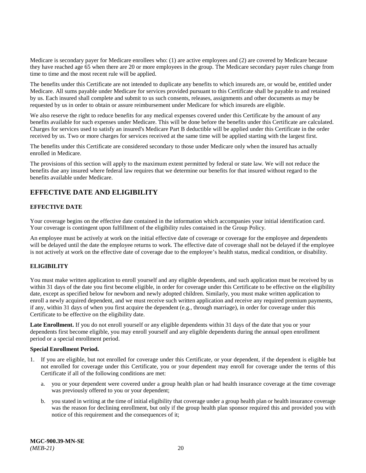Medicare is secondary payer for Medicare enrollees who: (1) are active employees and (2) are covered by Medicare because they have reached age 65 when there are 20 or more employees in the group. The Medicare secondary payer rules change from time to time and the most recent rule will be applied.

The benefits under this Certificate are not intended to duplicate any benefits to which insureds are, or would be, entitled under Medicare. All sums payable under Medicare for services provided pursuant to this Certificate shall be payable to and retained by us. Each insured shall complete and submit to us such consents, releases, assignments and other documents as may be requested by us in order to obtain or assure reimbursement under Medicare for which insureds are eligible.

We also reserve the right to reduce benefits for any medical expenses covered under this Certificate by the amount of any benefits available for such expenses under Medicare. This will be done before the benefits under this Certificate are calculated. Charges for services used to satisfy an insured's Medicare Part B deductible will be applied under this Certificate in the order received by us. Two or more charges for services received at the same time will be applied starting with the largest first.

The benefits under this Certificate are considered secondary to those under Medicare only when the insured has actually enrolled in Medicare.

The provisions of this section will apply to the maximum extent permitted by federal or state law. We will not reduce the benefits due any insured where federal law requires that we determine our benefits for that insured without regard to the benefits available under Medicare.

## <span id="page-25-0"></span>**EFFECTIVE DATE AND ELIGIBILITY**

#### <span id="page-25-1"></span>**EFFECTIVE DATE**

Your coverage begins on the effective date contained in the information which accompanies your initial identification card. Your coverage is contingent upon fulfillment of the eligibility rules contained in the Group Policy.

An employee must be actively at work on the initial effective date of coverage or coverage for the employee and dependents will be delayed until the date the employee returns to work. The effective date of coverage shall not be delayed if the employee is not actively at work on the effective date of coverage due to the employee's health status, medical condition, or disability.

#### <span id="page-25-2"></span>**ELIGIBILITY**

You must make written application to enroll yourself and any eligible dependents, and such application must be received by us within 31 days of the date you first become eligible, in order for coverage under this Certificate to be effective on the eligibility date, except as specified below for newborn and newly adopted children. Similarly, you must make written application to enroll a newly acquired dependent, and we must receive such written application and receive any required premium payments, if any, within 31 days of when you first acquire the dependent (e.g., through marriage), in order for coverage under this Certificate to be effective on the eligibility date.

Late Enrollment. If you do not enroll yourself or any eligible dependents within 31 days of the date that you or your dependents first become eligible, you may enroll yourself and any eligible dependents during the annual open enrollment period or a special enrollment period.

#### **Special Enrollment Period.**

- 1. If you are eligible, but not enrolled for coverage under this Certificate, or your dependent, if the dependent is eligible but not enrolled for coverage under this Certificate, you or your dependent may enroll for coverage under the terms of this Certificate if all of the following conditions are met:
	- a. you or your dependent were covered under a group health plan or had health insurance coverage at the time coverage was previously offered to you or your dependent;
	- b. you stated in writing at the time of initial eligibility that coverage under a group health plan or health insurance coverage was the reason for declining enrollment, but only if the group health plan sponsor required this and provided you with notice of this requirement and the consequences of it;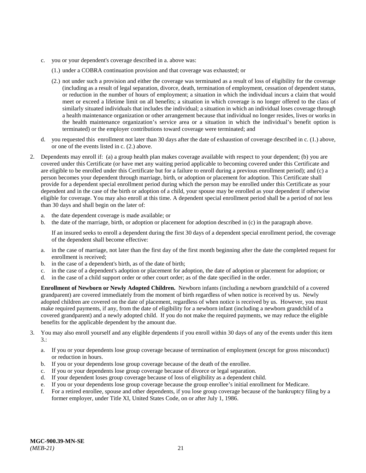- c. you or your dependent's coverage described in a. above was:
	- (1.) under a COBRA continuation provision and that coverage was exhausted; or
	- (2.) not under such a provision and either the coverage was terminated as a result of loss of eligibility for the coverage (including as a result of legal separation, divorce, death, termination of employment, cessation of dependent status, or reduction in the number of hours of employment; a situation in which the individual incurs a claim that would meet or exceed a lifetime limit on all benefits; a situation in which coverage is no longer offered to the class of similarly situated individuals that includes the individual; a situation in which an individual loses coverage through a health maintenance organization or other arrangement because that individual no longer resides, lives or works in the health maintenance organization's service area or a situation in which the individual's benefit option is terminated) or the employer contributions toward coverage were terminated; and
- d. you requested this enrollment not later than 30 days after the date of exhaustion of coverage described in c. (1.) above, or one of the events listed in c. (2.) above.
- 2. Dependents may enroll if: (a) a group health plan makes coverage available with respect to your dependent; (b) you are covered under this Certificate (or have met any waiting period applicable to becoming covered under this Certificate and are eligible to be enrolled under this Certificate but for a failure to enroll during a previous enrollment period); and (c) a person becomes your dependent through marriage, birth, or adoption or placement for adoption. This Certificate shall provide for a dependent special enrollment period during which the person may be enrolled under this Certificate as your dependent and in the case of the birth or adoption of a child, your spouse may be enrolled as your dependent if otherwise eligible for coverage. You may also enroll at this time. A dependent special enrollment period shall be a period of not less than 30 days and shall begin on the later of:
	- a. the date dependent coverage is made available; or
	- b. the date of the marriage, birth, or adoption or placement for adoption described in (c) in the paragraph above.

If an insured seeks to enroll a dependent during the first 30 days of a dependent special enrollment period, the coverage of the dependent shall become effective:

- a. in the case of marriage, not later than the first day of the first month beginning after the date the completed request for enrollment is received;
- b. in the case of a dependent's birth, as of the date of birth;
- c. in the case of a dependent's adoption or placement for adoption, the date of adoption or placement for adoption; or
- d. in the case of a child support order or other court order; as of the date specified in the order.

**Enrollment of Newborn or Newly Adopted Children.** Newborn infants (including a newborn grandchild of a covered grandparent) are covered immediately from the moment of birth regardless of when notice is received by us. Newly adopted children are covered on the date of placement, regardless of when notice is received by us. However, you must make required payments, if any, from the date of eligibility for a newborn infant (including a newborn grandchild of a covered grandparent) and a newly adopted child. If you do not make the required payments, we may reduce the eligible benefits for the applicable dependent by the amount due.

- 3. You may also enroll yourself and any eligible dependents if you enroll within 30 days of any of the events under this item 3.:
	- a. If you or your dependents lose group coverage because of termination of employment (except for gross misconduct) or reduction in hours.
	- b. If you or your dependents lose group coverage because of the death of the enrollee.
	- c. If you or your dependents lose group coverage because of divorce or legal separation.
	- d. If your dependent loses group coverage because of loss of eligibility as a dependent child.
	- e. If you or your dependents lose group coverage because the group enrollee's initial enrollment for Medicare.
	- f. For a retired enrollee, spouse and other dependents, if you lose group coverage because of the bankruptcy filing by a former employer, under Title XI, United States Code, on or after July 1, 1986.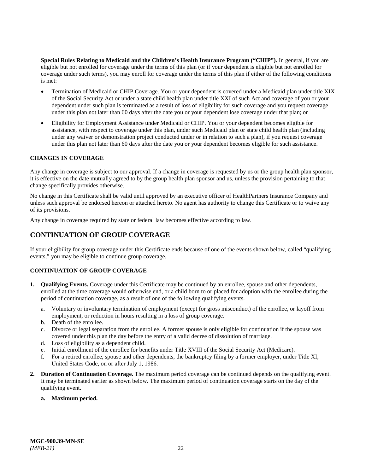**Special Rules Relating to Medicaid and the Children's Health Insurance Program ("CHIP").** In general, if you are eligible but not enrolled for coverage under the terms of this plan (or if your dependent is eligible but not enrolled for coverage under such terms), you may enroll for coverage under the terms of this plan if either of the following conditions is met:

- Termination of Medicaid or CHIP Coverage. You or your dependent is covered under a Medicaid plan under title XIX of the Social Security Act or under a state child health plan under title XXI of such Act and coverage of you or your dependent under such plan is terminated as a result of loss of eligibility for such coverage and you request coverage under this plan not later than 60 days after the date you or your dependent lose coverage under that plan; or
- Eligibility for Employment Assistance under Medicaid or CHIP. You or your dependent becomes eligible for assistance, with respect to coverage under this plan, under such Medicaid plan or state child health plan (including under any waiver or demonstration project conducted under or in relation to such a plan), if you request coverage under this plan not later than 60 days after the date you or your dependent becomes eligible for such assistance.

#### <span id="page-27-0"></span>**CHANGES IN COVERAGE**

Any change in coverage is subject to our approval. If a change in coverage is requested by us or the group health plan sponsor, it is effective on the date mutually agreed to by the group health plan sponsor and us, unless the provision pertaining to that change specifically provides otherwise.

No change in this Certificate shall be valid until approved by an executive officer of HealthPartners Insurance Company and unless such approval be endorsed hereon or attached hereto. No agent has authority to change this Certificate or to waive any of its provisions.

Any change in coverage required by state or federal law becomes effective according to law.

## <span id="page-27-1"></span>**CONTINUATION OF GROUP COVERAGE**

If your eligibility for group coverage under this Certificate ends because of one of the events shown below, called "qualifying events," you may be eligible to continue group coverage.

#### <span id="page-27-2"></span>**CONTINUATION OF GROUP COVERAGE**

- **1. Qualifying Events.** Coverage under this Certificate may be continued by an enrollee, spouse and other dependents, enrolled at the time coverage would otherwise end, or a child born to or placed for adoption with the enrollee during the period of continuation coverage, as a result of one of the following qualifying events.
	- a. Voluntary or involuntary termination of employment (except for gross misconduct) of the enrollee, or layoff from employment, or reduction in hours resulting in a loss of group coverage.
	- b. Death of the enrollee.
	- c. Divorce or legal separation from the enrollee. A former spouse is only eligible for continuation if the spouse was covered under this plan the day before the entry of a valid decree of dissolution of marriage.
	- d. Loss of eligibility as a dependent child.
	- e. Initial enrollment of the enrollee for benefits under Title XVIII of the Social Security Act (Medicare).
	- f. For a retired enrollee, spouse and other dependents, the bankruptcy filing by a former employer, under Title XI, United States Code, on or after July 1, 1986.
- **2. Duration of Continuation Coverage.** The maximum period coverage can be continued depends on the qualifying event. It may be terminated earlier as shown below. The maximum period of continuation coverage starts on the day of the qualifying event.

#### **a. Maximum period.**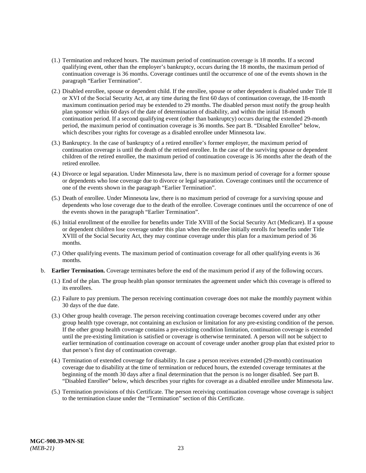- (1.) Termination and reduced hours. The maximum period of continuation coverage is 18 months. If a second qualifying event, other than the employer's bankruptcy, occurs during the 18 months, the maximum period of continuation coverage is 36 months. Coverage continues until the occurrence of one of the events shown in the paragraph "Earlier Termination".
- (2.) Disabled enrollee, spouse or dependent child. If the enrollee, spouse or other dependent is disabled under Title II or XVI of the Social Security Act, at any time during the first 60 days of continuation coverage, the 18-month maximum continuation period may be extended to 29 months. The disabled person must notify the group health plan sponsor within 60 days of the date of determination of disability, and within the initial 18-month continuation period. If a second qualifying event (other than bankruptcy) occurs during the extended 29-month period, the maximum period of continuation coverage is 36 months. See part B. "Disabled Enrollee" below, which describes your rights for coverage as a disabled enrollee under Minnesota law.
- (3.) Bankruptcy. In the case of bankruptcy of a retired enrollee's former employer, the maximum period of continuation coverage is until the death of the retired enrollee. In the case of the surviving spouse or dependent children of the retired enrollee, the maximum period of continuation coverage is 36 months after the death of the retired enrollee.
- (4.) Divorce or legal separation. Under Minnesota law, there is no maximum period of coverage for a former spouse or dependents who lose coverage due to divorce or legal separation. Coverage continues until the occurrence of one of the events shown in the paragraph "Earlier Termination".
- (5.) Death of enrollee. Under Minnesota law, there is no maximum period of coverage for a surviving spouse and dependents who lose coverage due to the death of the enrollee. Coverage continues until the occurrence of one of the events shown in the paragraph "Earlier Termination".
- (6.) Initial enrollment of the enrollee for benefits under Title XVIII of the Social Security Act (Medicare). If a spouse or dependent children lose coverage under this plan when the enrollee initially enrolls for benefits under Title XVIII of the Social Security Act, they may continue coverage under this plan for a maximum period of 36 months.
- (7.) Other qualifying events. The maximum period of continuation coverage for all other qualifying events is 36 months.
- b. **Earlier Termination.** Coverage terminates before the end of the maximum period if any of the following occurs.
	- (1.) End of the plan. The group health plan sponsor terminates the agreement under which this coverage is offered to its enrollees.
	- (2.) Failure to pay premium. The person receiving continuation coverage does not make the monthly payment within 30 days of the due date.
	- (3.) Other group health coverage. The person receiving continuation coverage becomes covered under any other group health type coverage, not containing an exclusion or limitation for any pre-existing condition of the person. If the other group health coverage contains a pre-existing condition limitation, continuation coverage is extended until the pre-existing limitation is satisfied or coverage is otherwise terminated. A person will not be subject to earlier termination of continuation coverage on account of coverage under another group plan that existed prior to that person's first day of continuation coverage.
	- (4.) Termination of extended coverage for disability. In case a person receives extended (29-month) continuation coverage due to disability at the time of termination or reduced hours, the extended coverage terminates at the beginning of the month 30 days after a final determination that the person is no longer disabled. See part B. "Disabled Enrollee" below, which describes your rights for coverage as a disabled enrollee under Minnesota law.
	- (5.) Termination provisions of this Certificate. The person receiving continuation coverage whose coverage is subject to the termination clause under the "Termination" section of this Certificate.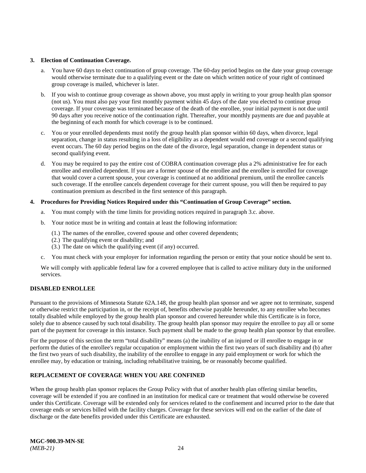#### **3. Election of Continuation Coverage.**

- a. You have 60 days to elect continuation of group coverage. The 60-day period begins on the date your group coverage would otherwise terminate due to a qualifying event or the date on which written notice of your right of continued group coverage is mailed, whichever is later.
- b. If you wish to continue group coverage as shown above, you must apply in writing to your group health plan sponsor (not us). You must also pay your first monthly payment within 45 days of the date you elected to continue group coverage. If your coverage was terminated because of the death of the enrollee, your initial payment is not due until 90 days after you receive notice of the continuation right. Thereafter, your monthly payments are due and payable at the beginning of each month for which coverage is to be continued.
- c. You or your enrolled dependents must notify the group health plan sponsor within 60 days, when divorce, legal separation, change in status resulting in a loss of eligibility as a dependent would end coverage or a second qualifying event occurs. The 60 day period begins on the date of the divorce, legal separation, change in dependent status or second qualifying event.
- d. You may be required to pay the entire cost of COBRA continuation coverage plus a 2% administrative fee for each enrollee and enrolled dependent. If you are a former spouse of the enrollee and the enrollee is enrolled for coverage that would cover a current spouse, your coverage is continued at no additional premium, until the enrollee cancels such coverage. If the enrollee cancels dependent coverage for their current spouse, you will then be required to pay continuation premium as described in the first sentence of this paragraph.

#### **4. Procedures for Providing Notices Required under this "Continuation of Group Coverage" section.**

- a. You must comply with the time limits for providing notices required in paragraph 3.c. above.
- b. Your notice must be in writing and contain at least the following information:
	- (1.) The names of the enrollee, covered spouse and other covered dependents;
	- (2.) The qualifying event or disability; and
	- (3.) The date on which the qualifying event (if any) occurred.
- c. You must check with your employer for information regarding the person or entity that your notice should be sent to.

We will comply with applicable federal law for a covered employee that is called to active military duty in the uniformed services.

#### <span id="page-29-0"></span>**DISABLED ENROLLEE**

Pursuant to the provisions of Minnesota Statute 62A.148, the group health plan sponsor and we agree not to terminate, suspend or otherwise restrict the participation in, or the receipt of, benefits otherwise payable hereunder, to any enrollee who becomes totally disabled while employed by the group health plan sponsor and covered hereunder while this Certificate is in force, solely due to absence caused by such total disability. The group health plan sponsor may require the enrollee to pay all or some part of the payment for coverage in this instance. Such payment shall be made to the group health plan sponsor by that enrollee.

For the purpose of this section the term "total disability" means (a) the inability of an injured or ill enrollee to engage in or perform the duties of the enrollee's regular occupation or employment within the first two years of such disability and (b) after the first two years of such disability, the inability of the enrollee to engage in any paid employment or work for which the enrollee may, by education or training, including rehabilitative training, be or reasonably become qualified.

#### **REPLACEMENT OF COVERAGE WHEN YOU ARE CONFINED**

When the group health plan sponsor replaces the Group Policy with that of another health plan offering similar benefits, coverage will be extended if you are confined in an institution for medical care or treatment that would otherwise be covered under this Certificate. Coverage will be extended only for services related to the confinement and incurred prior to the date that coverage ends or services billed with the facility charges. Coverage for these services will end on the earlier of the date of discharge or the date benefits provided under this Certificate are exhausted.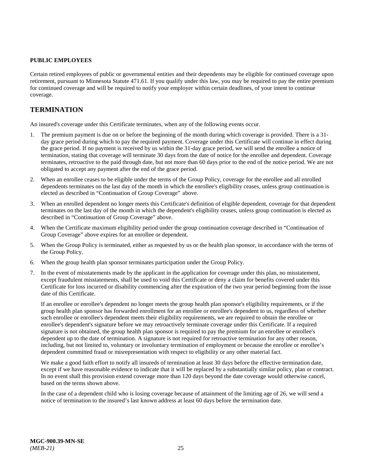#### <span id="page-30-0"></span>**PUBLIC EMPLOYEES**

Certain retired employees of public or governmental entities and their dependents may be eligible for continued coverage upon retirement, pursuant to Minnesota Statute 471.61. If you qualify under this law, you may be required to pay the entire premium for continued coverage and will be required to notify your employer within certain deadlines, of your intent to continue coverage.

## <span id="page-30-1"></span>**TERMINATION**

An insured's coverage under this Certificate terminates, when any of the following events occur.

- 1. The premium payment is due on or before the beginning of the month during which coverage is provided. There is a 31 day grace period during which to pay the required payment. Coverage under this Certificate will continue in effect during the grace period. If no payment is received by us within the 31-day grace period, we will send the enrollee a notice of termination, stating that coverage will terminate 30 days from the date of notice for the enrollee and dependent. Coverage terminates, retroactive to the paid through date, but not more than 60 days prior to the end of the notice period. We are not obligated to accept any payment after the end of the grace period.
- 2. When an enrollee ceases to be eligible under the terms of the Group Policy, coverage for the enrollee and all enrolled dependents terminates on the last day of the month in which the enrollee's eligibility ceases, unless group continuation is elected as described in "Continuation of Group Coverage" above.
- 3. When an enrolled dependent no longer meets this Certificate's definition of eligible dependent, coverage for that dependent terminates on the last day of the month in which the dependent's eligibility ceases, unless group continuation is elected as described in "Continuation of Group Coverage" above.
- 4. When the Certificate maximum eligibility period under the group continuation coverage described in "Continuation of Group Coverage" above expires for an enrollee or dependent.
- 5. When the Group Policy is terminated, either as requested by us or the health plan sponsor, in accordance with the terms of the Group Policy.
- 6. When the group health plan sponsor terminates participation under the Group Policy.
- 7. In the event of misstatements made by the applicant in the application for coverage under this plan, no misstatement, except fraudulent misstatements, shall be used to void this Certificate or deny a claim for benefits covered under this Certificate for loss incurred or disability commencing after the expiration of the two year period beginning from the issue date of this Certificate.

If an enrollee or enrollee's dependent no longer meets the group health plan sponsor's eligibility requirements, or if the group health plan sponsor has forwarded enrollment for an enrollee or enrollee's dependent to us, regardless of whether such enrollee or enrollee's dependent meets their eligibility requirements, we are required to obtain the enrollee or enrollee's dependent's signature before we may retroactively terminate coverage under this Certificate. If a required signature is not obtained, the group health plan sponsor is required to pay the premium for an enrollee or enrollee's dependent up to the date of termination. A signature is not required for retroactive termination for any other reason, including, but not limited to, voluntary or involuntary termination of employment or because the enrollee or enrollee's dependent committed fraud or misrepresentation with respect to eligibility or any other material fact.

We make a good faith effort to notify all insureds of termination at least 30 days before the effective termination date, except if we have reasonable evidence to indicate that it will be replaced by a substantially similar policy, plan or contract. In no event shall this provision extend coverage more than 120 days beyond the date coverage would otherwise cancel, based on the terms shown above.

In the case of a dependent child who is losing coverage because of attainment of the limiting age of 26, we will send a notice of termination to the insured's last known address at least 60 days before the termination date.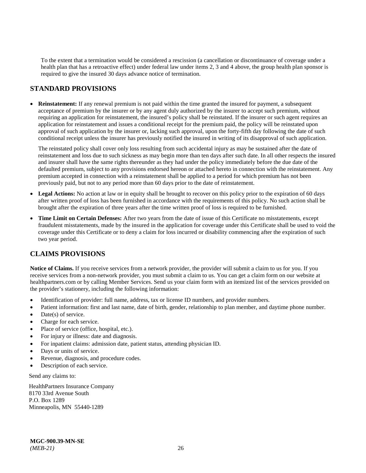To the extent that a termination would be considered a rescission (a cancellation or discontinuance of coverage under a health plan that has a retroactive effect) under federal law under items 2, 3 and 4 above, the group health plan sponsor is required to give the insured 30 days advance notice of termination.

## <span id="page-31-0"></span>**STANDARD PROVISIONS**

• **Reinstatement:** If any renewal premium is not paid within the time granted the insured for payment, a subsequent acceptance of premium by the insurer or by any agent duly authorized by the insurer to accept such premium, without requiring an application for reinstatement, the insured's policy shall be reinstated. If the insurer or such agent requires an application for reinstatement and issues a conditional receipt for the premium paid, the policy will be reinstated upon approval of such application by the insurer or, lacking such approval, upon the forty-fifth day following the date of such conditional receipt unless the insurer has previously notified the insured in writing of its disapproval of such application.

The reinstated policy shall cover only loss resulting from such accidental injury as may be sustained after the date of reinstatement and loss due to such sickness as may begin more than ten days after such date. In all other respects the insured and insurer shall have the same rights thereunder as they had under the policy immediately before the due date of the defaulted premium, subject to any provisions endorsed hereon or attached hereto in connection with the reinstatement. Any premium accepted in connection with a reinstatement shall be applied to a period for which premium has not been previously paid, but not to any period more than 60 days prior to the date of reinstatement.

- Legal Actions: No action at law or in equity shall be brought to recover on this policy prior to the expiration of 60 days after written proof of loss has been furnished in accordance with the requirements of this policy. No such action shall be brought after the expiration of three years after the time written proof of loss is required to be furnished.
- **Time Limit on Certain Defenses:** After two years from the date of issue of this Certificate no misstatements, except fraudulent misstatements, made by the insured in the application for coverage under this Certificate shall be used to void the coverage under this Certificate or to deny a claim for loss incurred or disability commencing after the expiration of such two year period.

## <span id="page-31-1"></span>**CLAIMS PROVISIONS**

**Notice of Claims.** If you receive services from a network provider, the provider will submit a claim to us for you. If you receive services from a non-network provider, you must submit a claim to us. You can get a claim form on our website at [healthpartners.com](https://www.healthpartners.com/hp/index.html) or by calling Member Services. Send us your claim form with an itemized list of the services provided on the provider's stationery, including the following information:

- Identification of provider: full name, address, tax or license ID numbers, and provider numbers.
- Patient information: first and last name, date of birth, gender, relationship to plan member, and daytime phone number.
- $Date(s)$  of service.
- Charge for each service.
- Place of service (office, hospital, etc.).
- For injury or illness: date and diagnosis.
- For inpatient claims: admission date, patient status, attending physician ID.
- Days or units of service.
- Revenue, diagnosis, and procedure codes.
- Description of each service.

Send any claims to:

HealthPartners Insurance Company 8170 33rd Avenue South P.O. Box 1289 Minneapolis, MN 55440-1289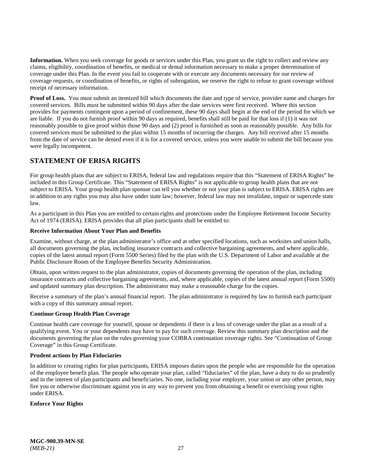**Information.** When you seek coverage for goods or services under this Plan, you grant us the right to collect and review any claims, eligibility, coordination of benefits, or medical or dental information necessary to make a proper determination of coverage under this Plan. In the event you fail to cooperate with or execute any documents necessary for our review of coverage requests, or coordination of benefits, or rights of subrogation, we reserve the right to refuse to grant coverage without receipt of necessary information.

**Proof of Loss.** You must submit an itemized bill which documents the date and type of service, provider name and charges for covered services. Bills must be submitted within 90 days after the date services were first received. Where this section provides for payments contingent upon a period of confinement, these 90 days shall begin at the end of the period for which we are liable. If you do not furnish proof within 90 days as required, benefits shall still be paid for that loss if (1) it was not reasonably possible to give proof within those 90 days and (2) proof is furnished as soon as reasonably possible. Any bills for covered services must be submitted to the plan within 15 months of incurring the charges. Any bill received after 15 months from the date of service can be denied even if it is for a covered service, unless you were unable to submit the bill because you were legally incompetent.

## <span id="page-32-0"></span>**STATEMENT OF ERISA RIGHTS**

For group health plans that are subject to ERISA, federal law and regulations require that this "Statement of ERISA Rights" be included in this Group Certificate. This "Statement of ERISA Rights" is not applicable to group health plans that are not subject to ERISA. Your group health plan sponsor can tell you whether or not your plan is subject to ERISA. ERISA rights are in addition to any rights you may also have under state law; however, federal law may not invalidate, impair or supercede state law.

As a participant in this Plan you are entitled to certain rights and protections under the Employee Retirement Income Security Act of 1974 (ERISA). ERISA provides that all plan participants shall be entitled to:

#### **Receive Information About Your Plan and Benefits**

Examine, without charge, at the plan administrator's office and at other specified locations, such as worksites and union halls, all documents governing the plan, including insurance contracts and collective bargaining agreements, and where applicable, copies of the latest annual report (Form 5500 Series) filed by the plan with the U.S. Department of Labor and available at the Public Disclosure Room of the Employee Benefits Security Administration.

Obtain, upon written request to the plan administrator, copies of documents governing the operation of the plan, including insurance contracts and collective bargaining agreements, and, where applicable, copies of the latest annual report (Form 5500) and updated summary plan description. The administrator may make a reasonable charge for the copies.

Receive a summary of the plan's annual financial report. The plan administrator is required by law to furnish each participant with a copy of this summary annual report.

#### **Continue Group Health Plan Coverage**

Continue health care coverage for yourself, spouse or dependents if there is a loss of coverage under the plan as a result of a qualifying event. You or your dependents may have to pay for such coverage. Review this summary plan description and the documents governing the plan on the rules governing your COBRA continuation coverage rights. See "Continuation of Group Coverage" in this Group Certificate.

#### **Prudent actions by Plan Fiduciaries**

In addition to creating rights for plan participants, ERISA imposes duties upon the people who are responsible for the operation of the employee benefit plan. The people who operate your plan, called "fiduciaries" of the plan, have a duty to do so prudently and in the interest of plan participants and beneficiaries. No one, including your employer, your union or any other person, may fire you or otherwise discriminate against you in any way to prevent you from obtaining a benefit or exercising your rights under ERISA.

#### **Enforce Your Rights**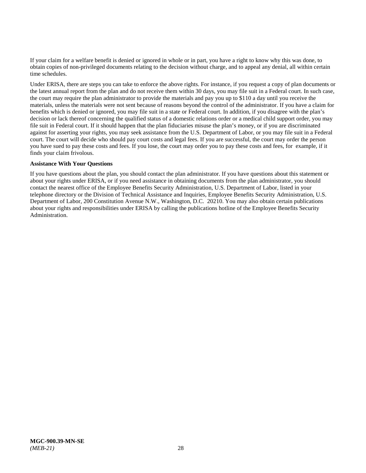If your claim for a welfare benefit is denied or ignored in whole or in part, you have a right to know why this was done, to obtain copies of non-privileged documents relating to the decision without charge, and to appeal any denial, all within certain time schedules.

Under ERISA, there are steps you can take to enforce the above rights. For instance, if you request a copy of plan documents or the latest annual report from the plan and do not receive them within 30 days, you may file suit in a Federal court. In such case, the court may require the plan administrator to provide the materials and pay you up to \$110 a day until you receive the materials, unless the materials were not sent because of reasons beyond the control of the administrator. If you have a claim for benefits which is denied or ignored, you may file suit in a state or Federal court. In addition, if you disagree with the plan's decision or lack thereof concerning the qualified status of a domestic relations order or a medical child support order, you may file suit in Federal court. If it should happen that the plan fiduciaries misuse the plan's money, or if you are discriminated against for asserting your rights, you may seek assistance from the U.S. Department of Labor, or you may file suit in a Federal court. The court will decide who should pay court costs and legal fees. If you are successful, the court may order the person you have sued to pay these costs and fees. If you lose, the court may order you to pay these costs and fees, for example, if it finds your claim frivolous.

#### **Assistance With Your Questions**

If you have questions about the plan, you should contact the plan administrator. If you have questions about this statement or about your rights under ERISA, or if you need assistance in obtaining documents from the plan administrator, you should contact the nearest office of the Employee Benefits Security Administration, U.S. Department of Labor, listed in your telephone directory or the Division of Technical Assistance and Inquiries, Employee Benefits Security Administration, U.S. Department of Labor, 200 Constitution Avenue N.W., Washington, D.C. 20210. You may also obtain certain publications about your rights and responsibilities under ERISA by calling the publications hotline of the Employee Benefits Security Administration.